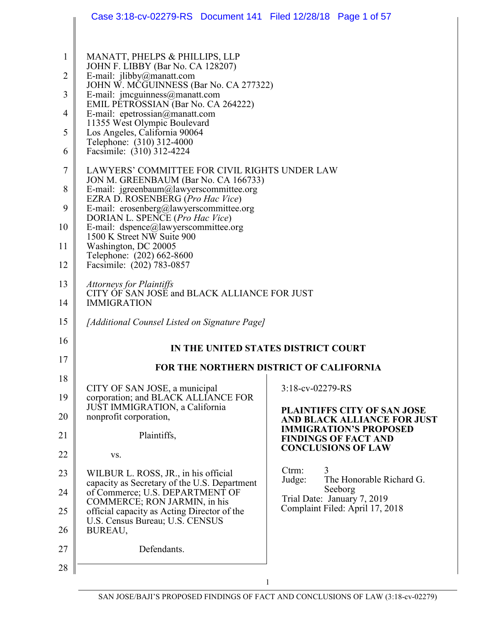|                     | Case 3:18-cv-02279-RS  Document 141  Filed 12/28/18  Page 1 of 57                                |                                                              |
|---------------------|--------------------------------------------------------------------------------------------------|--------------------------------------------------------------|
|                     |                                                                                                  |                                                              |
| 1<br>$\overline{2}$ | MANATT, PHELPS & PHILLIPS, LLP<br>JOHN F. LIBBY (Bar No. CA 128207)<br>E-mail: jlibby@manatt.com |                                                              |
|                     | JOHN W. MCGUINNESS (Bar No. CA 277322)                                                           |                                                              |
| 3                   | E-mail: jmcguinness@manatt.com<br>EMIL PETROSSIAN (Bar No. CA 264222)                            |                                                              |
| $\overline{4}$      | E-mail: epetrossian@manatt.com<br>11355 West Olympic Boulevard                                   |                                                              |
| 5                   | Los Angeles, California 90064<br>Telephone: (310) 312-4000                                       |                                                              |
| 6                   | Facsimile: (310) 312-4224                                                                        |                                                              |
| 7                   | LAWYERS' COMMITTEE FOR CIVIL RIGHTS UNDER LAW<br>JON M. GREENBAUM (Bar No. CA 166733)            |                                                              |
| 8                   | E-mail: jgreenbaum@lawyerscommittee.org<br>EZRA D. ROSENBERG (Pro Hac Vice)                      |                                                              |
| 9                   | E-mail: erosenberg@lawyerscommittee.org<br>DORIAN L. SPENCE (Pro Hac Vice)                       |                                                              |
| 10                  | E-mail: dspence@lawyerscommittee.org<br>1500 K Street NW Suite 900                               |                                                              |
| 11                  | Washington, DC 20005<br>Telephone: (202) 662-8600                                                |                                                              |
| 12                  | Facsimile: (202) 783-0857                                                                        |                                                              |
| 13                  | <b>Attorneys for Plaintiffs</b><br>CITY OF SAN JOSE and BLACK ALLIANCE FOR JUST                  |                                                              |
| 14                  | <b>IMMIGRATION</b>                                                                               |                                                              |
| 15                  | [Additional Counsel Listed on Signature Page]                                                    |                                                              |
| 16                  |                                                                                                  | IN THE UNITED STATES DISTRICT COURT                          |
| 17                  |                                                                                                  | FOR THE NORTHERN DISTRICT OF CALIFORNIA                      |
| 18                  |                                                                                                  | 3:18-cv-02279-RS                                             |
| 19                  | CITY OF SAN JOSE, a municipal<br>corporation; and BLACK ALLIANCE FOR                             |                                                              |
| 20                  | JUST IMMIGRATION, a California<br>nonprofit corporation,                                         | PLAINTIFFS CITY OF SAN JOSE<br>AND BLACK ALLIANCE FOR JUST   |
| 21                  | Plaintiffs,                                                                                      | <b>IMMIGRATION'S PROPOSED</b><br><b>FINDINGS OF FACT AND</b> |
| 22                  | VS.                                                                                              | <b>CONCLUSIONS OF LAW</b>                                    |
| 23                  | WILBUR L. ROSS, JR., in his official                                                             | Ctrm:<br>3<br>The Honorable Richard G.<br>Judge:             |
| 24                  | capacity as Secretary of the U.S. Department<br>of Commerce; U.S. DEPARTMENT OF                  | Seeborg<br>Trial Date: January 7, 2019                       |
| 25                  | COMMERCE; RON JARMIN, in his<br>official capacity as Acting Director of the                      | Complaint Filed: April 17, 2018                              |
| 26                  | U.S. Census Bureau; U.S. CENSUS<br>BUREAU,                                                       |                                                              |
| 27                  | Defendants.                                                                                      |                                                              |
| 28                  |                                                                                                  |                                                              |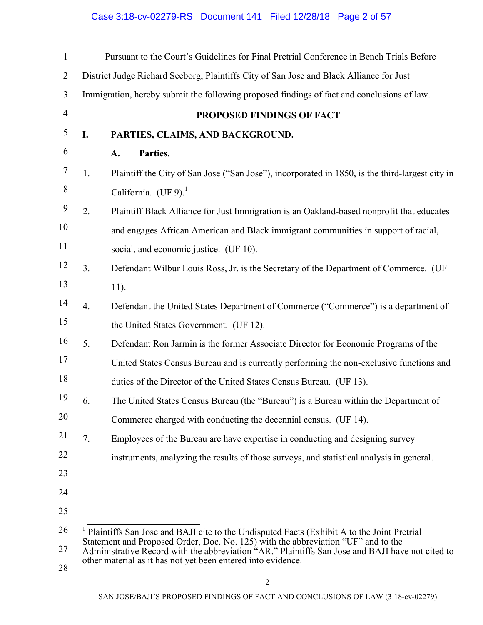| 1              |                                                                                                                                                                  | Pursuant to the Court's Guidelines for Final Pretrial Conference in Bench Trials Before                                                                                         |  |
|----------------|------------------------------------------------------------------------------------------------------------------------------------------------------------------|---------------------------------------------------------------------------------------------------------------------------------------------------------------------------------|--|
| $\overline{2}$ |                                                                                                                                                                  | District Judge Richard Seeborg, Plaintiffs City of San Jose and Black Alliance for Just                                                                                         |  |
| 3              |                                                                                                                                                                  | Immigration, hereby submit the following proposed findings of fact and conclusions of law.                                                                                      |  |
| $\overline{4}$ |                                                                                                                                                                  | <b>PROPOSED FINDINGS OF FACT</b>                                                                                                                                                |  |
| 5              | I.                                                                                                                                                               | PARTIES, CLAIMS, AND BACKGROUND.                                                                                                                                                |  |
| 6              |                                                                                                                                                                  | Parties.<br>A.                                                                                                                                                                  |  |
| 7              | 1.                                                                                                                                                               | Plaintiff the City of San Jose ("San Jose"), incorporated in 1850, is the third-largest city in                                                                                 |  |
| 8              |                                                                                                                                                                  | California. (UF 9). $1$                                                                                                                                                         |  |
| 9              | 2.                                                                                                                                                               | Plaintiff Black Alliance for Just Immigration is an Oakland-based nonprofit that educates                                                                                       |  |
| 10             |                                                                                                                                                                  | and engages African American and Black immigrant communities in support of racial,                                                                                              |  |
| 11             |                                                                                                                                                                  | social, and economic justice. (UF 10).                                                                                                                                          |  |
| 12             | 3.                                                                                                                                                               | Defendant Wilbur Louis Ross, Jr. is the Secretary of the Department of Commerce. (UF                                                                                            |  |
| 13             |                                                                                                                                                                  | $11$ ).                                                                                                                                                                         |  |
| 14             | 4.                                                                                                                                                               | Defendant the United States Department of Commerce ("Commerce") is a department of                                                                                              |  |
| 15             |                                                                                                                                                                  | the United States Government. (UF 12).                                                                                                                                          |  |
| 16             | 5.                                                                                                                                                               | Defendant Ron Jarmin is the former Associate Director for Economic Programs of the                                                                                              |  |
| 17             |                                                                                                                                                                  | United States Census Bureau and is currently performing the non-exclusive functions and                                                                                         |  |
| 18             |                                                                                                                                                                  | duties of the Director of the United States Census Bureau. (UF 13).                                                                                                             |  |
| 19             | 6.                                                                                                                                                               | The United States Census Bureau (the "Bureau") is a Bureau within the Department of                                                                                             |  |
| 20             |                                                                                                                                                                  | Commerce charged with conducting the decennial census. (UF 14).                                                                                                                 |  |
| 21             | 7.                                                                                                                                                               | Employees of the Bureau are have expertise in conducting and designing survey                                                                                                   |  |
| 22             |                                                                                                                                                                  | instruments, analyzing the results of those surveys, and statistical analysis in general.                                                                                       |  |
| 23             |                                                                                                                                                                  |                                                                                                                                                                                 |  |
| 24             |                                                                                                                                                                  |                                                                                                                                                                                 |  |
| 25             |                                                                                                                                                                  |                                                                                                                                                                                 |  |
| 26             |                                                                                                                                                                  | Plaintiffs San Jose and BAJI cite to the Undisputed Facts (Exhibit A to the Joint Pretrial<br>Statement and Proposed Order, Doc. No. 125) with the abbreviation "UF" and to the |  |
| 27             | Administrative Record with the abbreviation "AR." Plaintiffs San Jose and BAJI have not cited to<br>other material as it has not yet been entered into evidence. |                                                                                                                                                                                 |  |
| 28             |                                                                                                                                                                  |                                                                                                                                                                                 |  |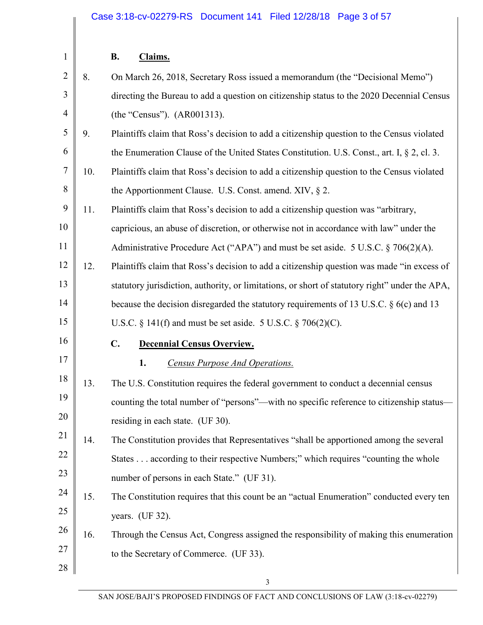| $\mathbf{1}$   |     | <b>B.</b><br>Claims.                                                                           |
|----------------|-----|------------------------------------------------------------------------------------------------|
| $\overline{2}$ | 8.  | On March 26, 2018, Secretary Ross issued a memorandum (the "Decisional Memo")                  |
| 3              |     | directing the Bureau to add a question on citizenship status to the 2020 Decennial Census      |
| $\overline{4}$ |     | (the "Census"). (AR001313).                                                                    |
| 5              | 9.  | Plaintiffs claim that Ross's decision to add a citizenship question to the Census violated     |
| 6              |     | the Enumeration Clause of the United States Constitution. U.S. Const., art. I, $\S 2$ , cl. 3. |
| $\overline{7}$ | 10. | Plaintiffs claim that Ross's decision to add a citizenship question to the Census violated     |
| 8              |     | the Apportionment Clause. U.S. Const. amend. XIV, $\S$ 2.                                      |
| 9              | 11. | Plaintiffs claim that Ross's decision to add a citizenship question was "arbitrary,            |
| 10             |     | capricious, an abuse of discretion, or otherwise not in accordance with law" under the         |
| 11             |     | Administrative Procedure Act ("APA") and must be set aside. 5 U.S.C. $\S 706(2)(A)$ .          |
| 12             | 12. | Plaintiffs claim that Ross's decision to add a citizenship question was made "in excess of     |
| 13             |     | statutory jurisdiction, authority, or limitations, or short of statutory right" under the APA, |
| 14             |     | because the decision disregarded the statutory requirements of 13 U.S.C. § 6(c) and 13         |
| 15             |     | U.S.C. $\S$ 141(f) and must be set aside. 5 U.S.C. $\S$ 706(2)(C).                             |
| 16             |     | $\mathbf{C}$ .<br><b>Decennial Census Overview.</b>                                            |
| 17             |     | 1.<br><b>Census Purpose And Operations.</b>                                                    |
| 18             | 13. | The U.S. Constitution requires the federal government to conduct a decennial census            |
| 19             |     | counting the total number of "persons"—with no specific reference to citizenship status—       |
| 20             |     | residing in each state. (UF 30).                                                               |
| 21             | 14. | The Constitution provides that Representatives "shall be apportioned among the several         |
| 22             |     | States according to their respective Numbers;" which requires "counting the whole              |
| 23             |     | number of persons in each State." (UF 31).                                                     |
| 24             | 15. | The Constitution requires that this count be an "actual Enumeration" conducted every ten       |
| 25             |     | years. (UF 32).                                                                                |
| 26             | 16. | Through the Census Act, Congress assigned the responsibility of making this enumeration        |
| 27             |     | to the Secretary of Commerce. (UF 33).                                                         |
| 28             |     |                                                                                                |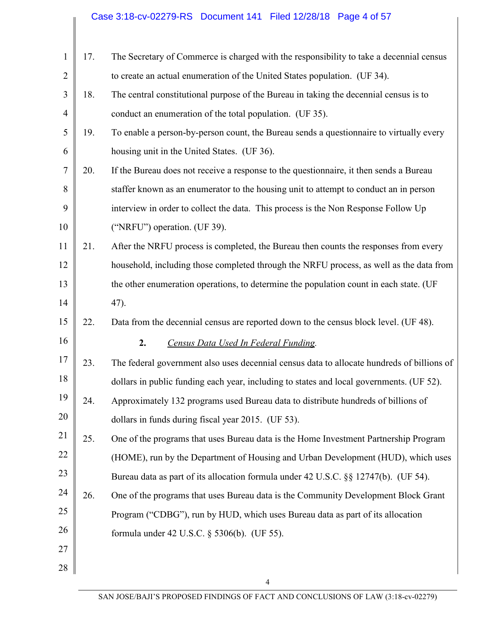## Case 3:18-cv-02279-RS Document 141 Filed 12/28/18 Page 4 of 57

| $\mathbf{1}$   | 17. | The Secretary of Commerce is charged with the responsibility to take a decennial census    |
|----------------|-----|--------------------------------------------------------------------------------------------|
| $\overline{2}$ |     | to create an actual enumeration of the United States population. (UF 34).                  |
| 3              | 18. | The central constitutional purpose of the Bureau in taking the decennial census is to      |
| $\overline{4}$ |     | conduct an enumeration of the total population. (UF 35).                                   |
| 5              | 19. | To enable a person-by-person count, the Bureau sends a question aire to virtually every    |
| 6              |     | housing unit in the United States. (UF 36).                                                |
| $\tau$         | 20. | If the Bureau does not receive a response to the question aire, it then sends a Bureau     |
| 8              |     | staffer known as an enumerator to the housing unit to attempt to conduct an in person      |
| 9              |     | interview in order to collect the data. This process is the Non Response Follow Up         |
| 10             |     | ("NRFU") operation. (UF 39).                                                               |
| 11             | 21. | After the NRFU process is completed, the Bureau then counts the responses from every       |
| 12             |     | household, including those completed through the NRFU process, as well as the data from    |
| 13             |     | the other enumeration operations, to determine the population count in each state. (UF     |
| 14             |     | 47).                                                                                       |
| 15             | 22. | Data from the decennial census are reported down to the census block level. (UF 48).       |
| 16             |     | 2.<br>Census Data Used In Federal Funding.                                                 |
| 17             | 23. | The federal government also uses decennial census data to allocate hundreds of billions of |
| 18             |     | dollars in public funding each year, including to states and local governments. (UF 52).   |
| 19             | 24. | Approximately 132 programs used Bureau data to distribute hundreds of billions of          |
| 20             |     | dollars in funds during fiscal year 2015. (UF 53).                                         |
| 21             | 25. | One of the programs that uses Bureau data is the Home Investment Partnership Program       |
| 22             |     | (HOME), run by the Department of Housing and Urban Development (HUD), which uses           |
| 23             |     | Bureau data as part of its allocation formula under 42 U.S.C. §§ 12747(b). (UF 54).        |
| 24             | 26. | One of the programs that uses Bureau data is the Community Development Block Grant         |
| 25             |     | Program ("CDBG"), run by HUD, which uses Bureau data as part of its allocation             |
| 26             |     | formula under 42 U.S.C. § 5306(b). (UF 55).                                                |
| 27             |     |                                                                                            |
| 28             |     | 4                                                                                          |
|                |     |                                                                                            |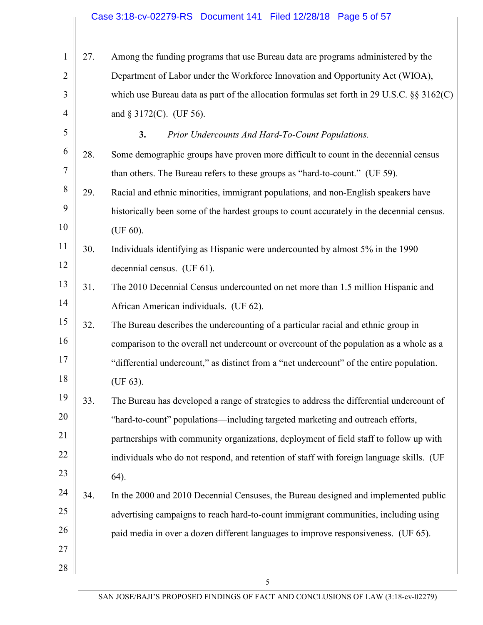## Case 3:18-cv-02279-RS Document 141 Filed 12/28/18 Page 5 of 57

| $\mathbf{1}$   | 27. | Among the funding programs that use Bureau data are programs administered by the             |
|----------------|-----|----------------------------------------------------------------------------------------------|
| $\overline{2}$ |     | Department of Labor under the Workforce Innovation and Opportunity Act (WIOA),               |
| 3              |     | which use Bureau data as part of the allocation formulas set forth in 29 U.S.C. $\S$ 3162(C) |
| $\overline{4}$ |     | and $\S 3172(C)$ . (UF 56).                                                                  |
| 5              |     | 3.<br><b>Prior Undercounts And Hard-To-Count Populations.</b>                                |
| 6              | 28. | Some demographic groups have proven more difficult to count in the decennial census          |
| 7              |     | than others. The Bureau refers to these groups as "hard-to-count." (UF 59).                  |
| 8              | 29. | Racial and ethnic minorities, immigrant populations, and non-English speakers have           |
| 9              |     | historically been some of the hardest groups to count accurately in the decennial census.    |
| 10             |     | (UF $60$ ).                                                                                  |
| 11             | 30. | Individuals identifying as Hispanic were undercounted by almost 5% in the 1990               |
| 12             |     | decennial census. (UF 61).                                                                   |
| 13             | 31. | The 2010 Decennial Census undercounted on net more than 1.5 million Hispanic and             |
| 14             |     | African American individuals. (UF 62).                                                       |
| 15             | 32. | The Bureau describes the undercounting of a particular racial and ethnic group in            |
| 16             |     | comparison to the overall net undercount or overcount of the population as a whole as a      |
| 17             |     | "differential undercount," as distinct from a "net undercount" of the entire population.     |
| 18             |     | (UF 63).                                                                                     |
| 19             | 33. | The Bureau has developed a range of strategies to address the differential undercount of     |
| 20             |     | "hard-to-count" populations-including targeted marketing and outreach efforts,               |
| 21             |     | partnerships with community organizations, deployment of field staff to follow up with       |
| 22             |     | individuals who do not respond, and retention of staff with foreign language skills. (UF     |
| 23             |     | 64).                                                                                         |
| 24             | 34. | In the 2000 and 2010 Decennial Censuses, the Bureau designed and implemented public          |
| 25             |     | advertising campaigns to reach hard-to-count immigrant communities, including using          |
| 26             |     | paid media in over a dozen different languages to improve responsiveness. (UF 65).           |
| 27             |     |                                                                                              |
| 28             |     |                                                                                              |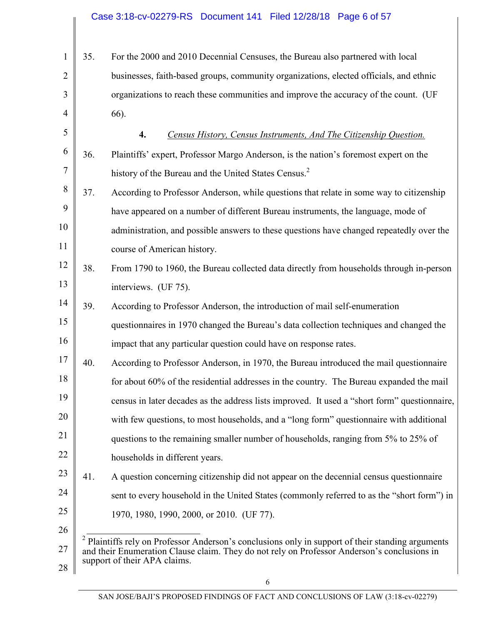| $\mathbf{1}$   | 35. | For the 2000 and 2010 Decennial Censuses, the Bureau also partnered with local                                                                                                                              |
|----------------|-----|-------------------------------------------------------------------------------------------------------------------------------------------------------------------------------------------------------------|
| $\overline{2}$ |     | businesses, faith-based groups, community organizations, elected officials, and ethnic                                                                                                                      |
| 3              |     | organizations to reach these communities and improve the accuracy of the count. (UF                                                                                                                         |
| $\overline{4}$ |     | 66).                                                                                                                                                                                                        |
| 5              |     | 4.<br>Census History, Census Instruments, And The Citizenship Question.                                                                                                                                     |
| 6              | 36. | Plaintiffs' expert, Professor Margo Anderson, is the nation's foremost expert on the                                                                                                                        |
| 7              |     | history of the Bureau and the United States Census. <sup>2</sup>                                                                                                                                            |
| 8              | 37. | According to Professor Anderson, while questions that relate in some way to citizenship                                                                                                                     |
| 9              |     | have appeared on a number of different Bureau instruments, the language, mode of                                                                                                                            |
| 10             |     | administration, and possible answers to these questions have changed repeatedly over the                                                                                                                    |
| 11             |     | course of American history.                                                                                                                                                                                 |
| 12             | 38. | From 1790 to 1960, the Bureau collected data directly from households through in-person                                                                                                                     |
| 13             |     | interviews. (UF 75).                                                                                                                                                                                        |
| 14             | 39. | According to Professor Anderson, the introduction of mail self-enumeration                                                                                                                                  |
| 15             |     | questionnaires in 1970 changed the Bureau's data collection techniques and changed the                                                                                                                      |
| 16             |     | impact that any particular question could have on response rates.                                                                                                                                           |
| 17             | 40. | According to Professor Anderson, in 1970, the Bureau introduced the mail questionnaire                                                                                                                      |
| 18             |     | for about 60% of the residential addresses in the country. The Bureau expanded the mail                                                                                                                     |
| 19             |     | census in later decades as the address lists improved. It used a "short form" questionnaire,                                                                                                                |
| 20             |     | with few questions, to most households, and a "long form" questionnaire with additional                                                                                                                     |
| 21             |     | questions to the remaining smaller number of households, ranging from 5% to 25% of                                                                                                                          |
| 22             |     | households in different years.                                                                                                                                                                              |
| 23             | 41. | A question concerning citizenship did not appear on the decennial census questionnaire                                                                                                                      |
| 24             |     | sent to every household in the United States (commonly referred to as the "short form") in                                                                                                                  |
| 25             |     | 1970, 1980, 1990, 2000, or 2010. (UF 77).                                                                                                                                                                   |
| 26             |     |                                                                                                                                                                                                             |
| 27             |     | <sup>2</sup> Plaintiffs rely on Professor Anderson's conclusions only in support of their standing arguments<br>and their Enumeration Clause claim. They do not rely on Professor Anderson's conclusions in |
|                |     | support of their APA claims.                                                                                                                                                                                |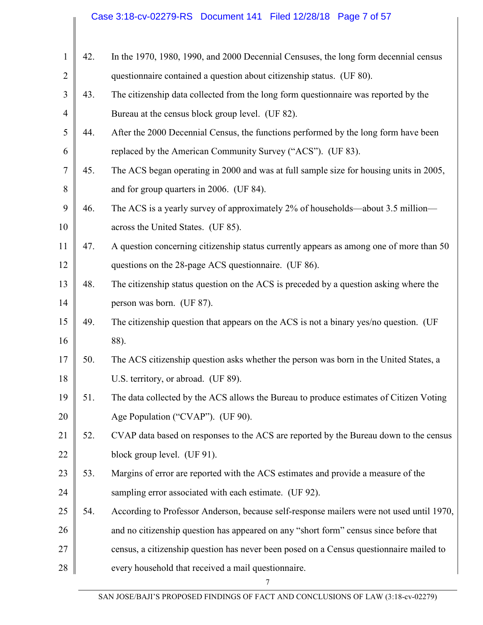## Case 3:18-cv-02279-RS Document 141 Filed 12/28/18 Page 7 of 57

| $\mathbf{1}$   | 42. | In the 1970, 1980, 1990, and 2000 Decennial Censuses, the long form decennial census     |
|----------------|-----|------------------------------------------------------------------------------------------|
| $\overline{2}$ |     | questionnaire contained a question about citizenship status. (UF 80).                    |
| 3              | 43. | The citizenship data collected from the long form questionnaire was reported by the      |
| $\overline{4}$ |     | Bureau at the census block group level. (UF 82).                                         |
| 5              | 44. | After the 2000 Decennial Census, the functions performed by the long form have been      |
| 6              |     | replaced by the American Community Survey ("ACS"). (UF 83).                              |
| $\overline{7}$ | 45. | The ACS began operating in 2000 and was at full sample size for housing units in 2005,   |
| 8              |     | and for group quarters in 2006. (UF 84).                                                 |
| 9              | 46. | The ACS is a yearly survey of approximately 2% of households—about 3.5 million—          |
| 10             |     | across the United States. (UF 85).                                                       |
| 11             | 47. | A question concerning citizenship status currently appears as among one of more than 50  |
| 12             |     | questions on the 28-page ACS questionnaire. (UF 86).                                     |
| 13             | 48. | The citizenship status question on the ACS is preceded by a question asking where the    |
| 14             |     | person was born. (UF 87).                                                                |
| 15             | 49. | The citizenship question that appears on the ACS is not a binary yes/no question. (UF    |
| 16             |     | 88).                                                                                     |
| 17             | 50. | The ACS citizenship question asks whether the person was born in the United States, a    |
| 18             |     | U.S. territory, or abroad. (UF 89).                                                      |
| 19             | 51. | The data collected by the ACS allows the Bureau to produce estimates of Citizen Voting   |
| 20             |     | Age Population ("CVAP"). (UF 90).                                                        |
| 21             | 52. | CVAP data based on responses to the ACS are reported by the Bureau down to the census    |
| 22             |     | block group level. (UF 91).                                                              |
| 23             | 53. | Margins of error are reported with the ACS estimates and provide a measure of the        |
| 24             |     | sampling error associated with each estimate. (UF 92).                                   |
| 25             | 54. | According to Professor Anderson, because self-response mailers were not used until 1970, |
| 26             |     | and no citizenship question has appeared on any "short form" census since before that    |
| 27             |     | census, a citizenship question has never been posed on a Census questionnaire mailed to  |
| 28             |     | every household that received a mail questionnaire.                                      |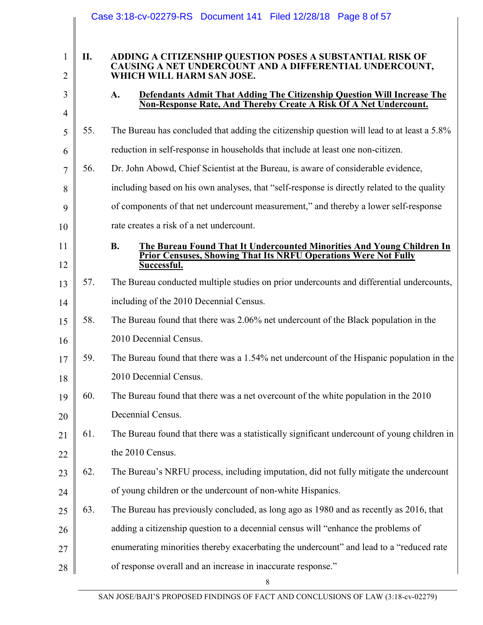|                                |     | Case 3:18-cv-02279-RS Document 141 Filed 12/28/18 Page 8 of 57                                                                                    |
|--------------------------------|-----|---------------------------------------------------------------------------------------------------------------------------------------------------|
|                                |     |                                                                                                                                                   |
| $\mathbf{1}$<br>$\overline{2}$ | II. | ADDING A CITIZENSHIP QUESTION POSES A SUBSTANTIAL RISK OF<br>CAUSING A NET UNDERCOUNT AND A DIFFERENTIAL UNDERCOUNT,<br>WHICH WILL HARM SAN JOSE. |
| 3                              |     | Defendants Admit That Adding The Citizenship Question Will Increase The<br>A.                                                                     |
| $\overline{4}$                 |     | Non-Response Rate, And Thereby Create A Risk Of A Net Undercount.                                                                                 |
| 5                              | 55. | The Bureau has concluded that adding the citizenship question will lead to at least a 5.8%                                                        |
| 6                              |     | reduction in self-response in households that include at least one non-citizen.                                                                   |
| $\overline{7}$                 | 56. | Dr. John Abowd, Chief Scientist at the Bureau, is aware of considerable evidence,                                                                 |
| 8                              |     | including based on his own analyses, that "self-response is directly related to the quality                                                       |
| 9                              |     | of components of that net undercount measurement," and thereby a lower self-response                                                              |
| 10                             |     | rate creates a risk of a net undercount.                                                                                                          |
| 11                             |     | <b>B.</b><br><b>The Bureau Found That It Undercounted Minorities And Young Children In</b>                                                        |
| 12                             |     | Prior Censuses, Showing That Its NRFU Operations Were Not Fully<br>Successful.                                                                    |
| 13                             | 57. | The Bureau conducted multiple studies on prior undercounts and differential undercounts,                                                          |
| 14                             |     | including of the 2010 Decennial Census.                                                                                                           |
| 15                             | 58. | The Bureau found that there was 2.06% net undercount of the Black population in the                                                               |
| 16                             |     | 2010 Decennial Census.                                                                                                                            |
| 17                             | 59. | The Bureau found that there was a 1.54% net undercount of the Hispanic population in the                                                          |
| 18                             |     | 2010 Decennial Census.                                                                                                                            |
| 19                             | 60. | The Bureau found that there was a net overcount of the white population in the 2010                                                               |
| 20                             |     | Decennial Census.                                                                                                                                 |
| 21                             | 61. | The Bureau found that there was a statistically significant undercount of young children in                                                       |
| 22                             |     | the 2010 Census.                                                                                                                                  |
| 23                             | 62. | The Bureau's NRFU process, including imputation, did not fully mitigate the undercount                                                            |
| 24                             |     | of young children or the undercount of non-white Hispanics.                                                                                       |
| 25                             | 63. | The Bureau has previously concluded, as long ago as 1980 and as recently as 2016, that                                                            |
| 26                             |     | adding a citizenship question to a decennial census will "enhance the problems of                                                                 |
| 27                             |     | enumerating minorities thereby exacerbating the undercount" and lead to a "reduced rate                                                           |
| 28                             |     | of response overall and an increase in inaccurate response."                                                                                      |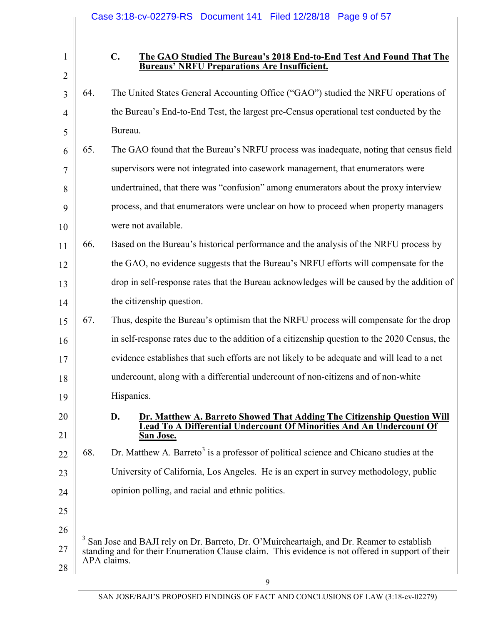|                |     | Case 3:18-cv-02279-RS Document 141 Filed 12/28/18 Page 9 of 57                                                                                                                                |
|----------------|-----|-----------------------------------------------------------------------------------------------------------------------------------------------------------------------------------------------|
|                |     |                                                                                                                                                                                               |
| $\mathbf{1}$   |     | C.<br>The GAO Studied The Bureau's 2018 End-to-End Test And Found That The<br><b>Bureaus' NRFU Preparations Are Insufficient.</b>                                                             |
| $\overline{2}$ |     |                                                                                                                                                                                               |
| 3              | 64. | The United States General Accounting Office ("GAO") studied the NRFU operations of                                                                                                            |
| $\overline{4}$ |     | the Bureau's End-to-End Test, the largest pre-Census operational test conducted by the                                                                                                        |
| 5              |     | Bureau.                                                                                                                                                                                       |
| 6              | 65. | The GAO found that the Bureau's NRFU process was inadequate, noting that census field                                                                                                         |
| 7              |     | supervisors were not integrated into casework management, that enumerators were                                                                                                               |
| 8              |     | undertrained, that there was "confusion" among enumerators about the proxy interview                                                                                                          |
| 9              |     | process, and that enumerators were unclear on how to proceed when property managers                                                                                                           |
| 10             |     | were not available.                                                                                                                                                                           |
| 11             | 66. | Based on the Bureau's historical performance and the analysis of the NRFU process by                                                                                                          |
| 12             |     | the GAO, no evidence suggests that the Bureau's NRFU efforts will compensate for the                                                                                                          |
| 13             |     | drop in self-response rates that the Bureau acknowledges will be caused by the addition of                                                                                                    |
| 14             |     | the citizenship question.                                                                                                                                                                     |
| 15             | 67. | Thus, despite the Bureau's optimism that the NRFU process will compensate for the drop                                                                                                        |
| 16             |     | in self-response rates due to the addition of a citizenship question to the 2020 Census, the                                                                                                  |
| 17             |     | evidence establishes that such efforts are not likely to be adequate and will lead to a net                                                                                                   |
| 18             |     | undercount, along with a differential undercount of non-citizens and of non-white                                                                                                             |
| 19             |     | Hispanics.                                                                                                                                                                                    |
| 20             |     | D.<br>Dr. Matthew A. Barreto Showed That Adding The Citizenship Question Will                                                                                                                 |
| 21             |     | Lead To A Differential Undercount Of Minorities And An Undercount Of<br><b>San Jose.</b>                                                                                                      |
| 22             | 68. | Dr. Matthew A. Barreto <sup>3</sup> is a professor of political science and Chicano studies at the                                                                                            |
| 23             |     | University of California, Los Angeles. He is an expert in survey methodology, public                                                                                                          |
| 24             |     | opinion polling, and racial and ethnic politics.                                                                                                                                              |
| 25             |     |                                                                                                                                                                                               |
| 26             |     |                                                                                                                                                                                               |
| 27             |     | San Jose and BAJI rely on Dr. Barreto, Dr. O'Muircheartaigh, and Dr. Reamer to establish<br>standing and for their Enumeration Clause claim. This evidence is not offered in support of their |
| 28             |     | APA claims.                                                                                                                                                                                   |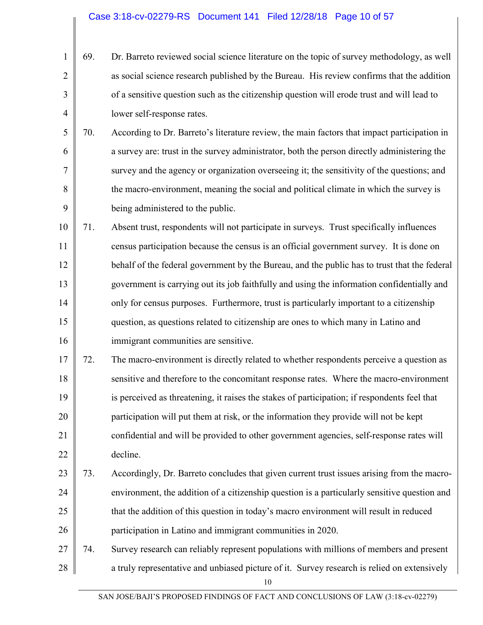- 1 2 3 4 69. Dr. Barreto reviewed social science literature on the topic of survey methodology, as well as social science research published by the Bureau. His review confirms that the addition of a sensitive question such as the citizenship question will erode trust and will lead to lower self-response rates.
- 5 6 7 8 9 70. According to Dr. Barreto's literature review, the main factors that impact participation in a survey are: trust in the survey administrator, both the person directly administering the survey and the agency or organization overseeing it; the sensitivity of the questions; and the macro-environment, meaning the social and political climate in which the survey is being administered to the public.
- 10 11 12 13 14 15 16 71. Absent trust, respondents will not participate in surveys. Trust specifically influences census participation because the census is an official government survey. It is done on behalf of the federal government by the Bureau, and the public has to trust that the federal government is carrying out its job faithfully and using the information confidentially and only for census purposes. Furthermore, trust is particularly important to a citizenship question, as questions related to citizenship are ones to which many in Latino and immigrant communities are sensitive.
- 17 18 19 20 21 22 72. The macro-environment is directly related to whether respondents perceive a question as sensitive and therefore to the concomitant response rates. Where the macro-environment is perceived as threatening, it raises the stakes of participation; if respondents feel that participation will put them at risk, or the information they provide will not be kept confidential and will be provided to other government agencies, self-response rates will decline.
- 23 24 25 26 73. Accordingly, Dr. Barreto concludes that given current trust issues arising from the macroenvironment, the addition of a citizenship question is a particularly sensitive question and that the addition of this question in today's macro environment will result in reduced participation in Latino and immigrant communities in 2020.
- 27 28 74. Survey research can reliably represent populations with millions of members and present a truly representative and unbiased picture of it. Survey research is relied on extensively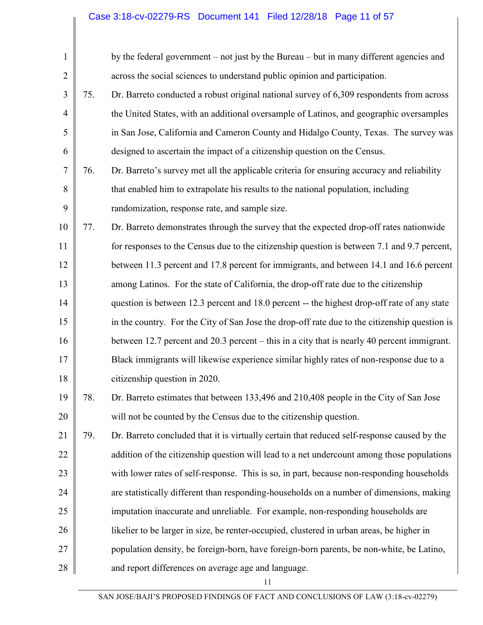## Case 3:18-cv-02279-RS Document 141 Filed 12/28/18 Page 11 of 57

| $\mathbf{1}$   |     | by the federal government – not just by the Bureau – but in many different agencies and       |
|----------------|-----|-----------------------------------------------------------------------------------------------|
| $\overline{2}$ |     | across the social sciences to understand public opinion and participation.                    |
| 3              | 75. | Dr. Barreto conducted a robust original national survey of 6,309 respondents from across      |
| $\overline{4}$ |     | the United States, with an additional oversample of Latinos, and geographic oversamples       |
| 5              |     | in San Jose, California and Cameron County and Hidalgo County, Texas. The survey was          |
| 6              |     | designed to ascertain the impact of a citizenship question on the Census.                     |
| 7              | 76. | Dr. Barreto's survey met all the applicable criteria for ensuring accuracy and reliability    |
| 8              |     | that enabled him to extrapolate his results to the national population, including             |
| 9              |     | randomization, response rate, and sample size.                                                |
| 10             | 77. | Dr. Barreto demonstrates through the survey that the expected drop-off rates nationwide       |
| 11             |     | for responses to the Census due to the citizenship question is between 7.1 and 9.7 percent,   |
| 12             |     | between 11.3 percent and 17.8 percent for immigrants, and between 14.1 and 16.6 percent       |
| 13             |     | among Latinos. For the state of California, the drop-off rate due to the citizenship          |
| 14             |     | question is between 12.3 percent and 18.0 percent -- the highest drop-off rate of any state   |
| 15             |     | in the country. For the City of San Jose the drop-off rate due to the citizenship question is |
| 16             |     | between 12.7 percent and 20.3 percent – this in a city that is nearly 40 percent immigrant.   |
| 17             |     | Black immigrants will likewise experience similar highly rates of non-response due to a       |
| 18             |     | citizenship question in 2020.                                                                 |
| 19             | 78. | Dr. Barreto estimates that between 133,496 and 210,408 people in the City of San Jose         |
| 20             |     | will not be counted by the Census due to the citizenship question.                            |
| 21             | 79. | Dr. Barreto concluded that it is virtually certain that reduced self-response caused by the   |
| 22             |     | addition of the citizenship question will lead to a net undercount among those populations    |
| 23             |     | with lower rates of self-response. This is so, in part, because non-responding households     |
| 24             |     | are statistically different than responding-households on a number of dimensions, making      |
| 25             |     | imputation inaccurate and unreliable. For example, non-responding households are              |
| 26             |     | likelier to be larger in size, be renter-occupied, clustered in urban areas, be higher in     |
| 27             |     | population density, be foreign-born, have foreign-born parents, be non-white, be Latino,      |
| 28             |     | and report differences on average age and language.                                           |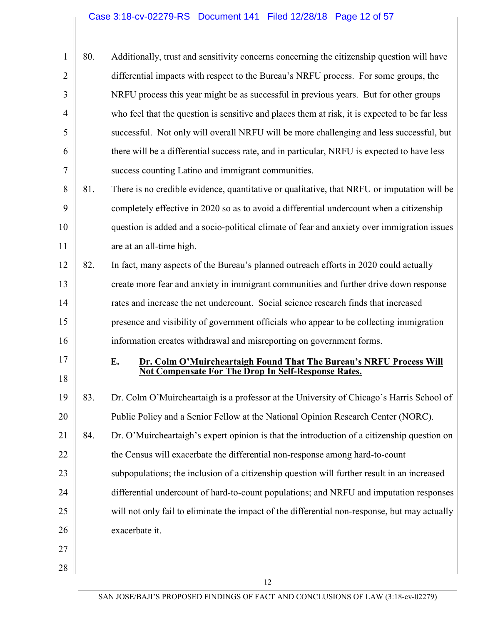|                | 80. | Additionally, trust and sensitivity concerns concerning the citizenship question will have     |
|----------------|-----|------------------------------------------------------------------------------------------------|
| $\overline{2}$ |     | differential impacts with respect to the Bureau's NRFU process. For some groups, the           |
| $\overline{3}$ |     | NRFU process this year might be as successful in previous years. But for other groups          |
| $\overline{4}$ |     | who feel that the question is sensitive and places them at risk, it is expected to be far less |
| 5              |     | successful. Not only will overall NRFU will be more challenging and less successful, but       |
| 6              |     | there will be a differential success rate, and in particular, NRFU is expected to have less    |
| 7              |     | success counting Latino and immigrant communities.                                             |

8 9 10 11 81. There is no credible evidence, quantitative or qualitative, that NRFU or imputation will be completely effective in 2020 so as to avoid a differential undercount when a citizenship question is added and a socio-political climate of fear and anxiety over immigration issues are at an all-time high.

12 13 14 15 16 82. In fact, many aspects of the Bureau's planned outreach efforts in 2020 could actually create more fear and anxiety in immigrant communities and further drive down response rates and increase the net undercount. Social science research finds that increased presence and visibility of government officials who appear to be collecting immigration information creates withdrawal and misreporting on government forms.

#### **E. Dr. Colm O'Muircheartaigh Found That The Bureau's NRFU Process Will Not Compensate For The Drop In Self-Response Rates.**

- 19 20 21 22 23 24 25 26 27 83. Dr. Colm O'Muircheartaigh is a professor at the University of Chicago's Harris School of Public Policy and a Senior Fellow at the National Opinion Research Center (NORC). 84. Dr. O'Muircheartaigh's expert opinion is that the introduction of a citizenship question on the Census will exacerbate the differential non-response among hard-to-count subpopulations; the inclusion of a citizenship question will further result in an increased differential undercount of hard-to-count populations; and NRFU and imputation responses will not only fail to eliminate the impact of the differential non-response, but may actually exacerbate it.
- 28

17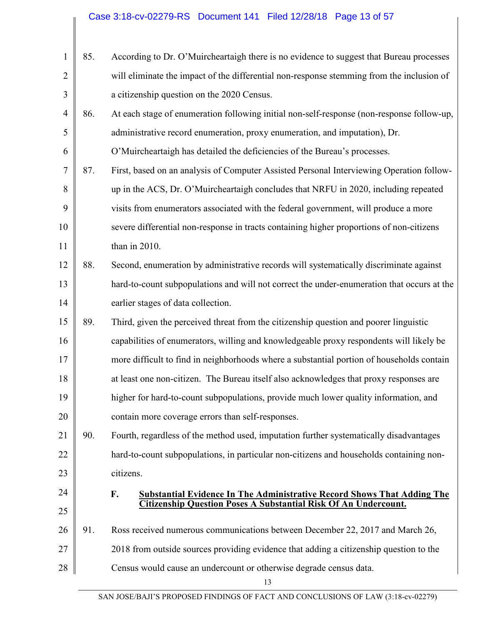| $\mathbf{1}$   | 85. | According to Dr. O'Muircheartaigh there is no evidence to suggest that Bureau processes    |
|----------------|-----|--------------------------------------------------------------------------------------------|
| $\overline{2}$ |     | will eliminate the impact of the differential non-response stemming from the inclusion of  |
| 3              |     | a citizenship question on the 2020 Census.                                                 |
| $\overline{4}$ | 86. | At each stage of enumeration following initial non-self-response (non-response follow-up,  |
| 5              |     | administrative record enumeration, proxy enumeration, and imputation), Dr.                 |
| 6              |     | O'Muircheartaigh has detailed the deficiencies of the Bureau's processes.                  |
| 7              | 87. | First, based on an analysis of Computer Assisted Personal Interviewing Operation follow-   |
| 8              |     | up in the ACS, Dr. O'Muircheartaigh concludes that NRFU in 2020, including repeated        |
| 9              |     | visits from enumerators associated with the federal government, will produce a more        |
| 10             |     | severe differential non-response in tracts containing higher proportions of non-citizens   |
| 11             |     | than in 2010.                                                                              |
| 12             | 88. | Second, enumeration by administrative records will systematically discriminate against     |
| 13             |     | hard-to-count subpopulations and will not correct the under-enumeration that occurs at the |
| 14             |     | earlier stages of data collection.                                                         |
| 15             | 89. | Third, given the perceived threat from the citizenship question and poorer linguistic      |
| 16             |     | capabilities of enumerators, willing and knowledgeable proxy respondents will likely be    |
| 17             |     | more difficult to find in neighborhoods where a substantial portion of households contain  |
| 18             |     | at least one non-citizen. The Bureau itself also acknowledges that proxy responses are     |
| 19             |     | higher for hard-to-count subpopulations, provide much lower quality information, and       |
| 20             |     | contain more coverage errors than self-responses.                                          |
| 21             | 90. | Fourth, regardless of the method used, imputation further systematically disadvantages     |
| 22             |     | hard-to-count subpopulations, in particular non-citizens and households containing non-    |
| 23             |     | citizens.                                                                                  |
| 24             |     | F.<br><b>Substantial Evidence In The Administrative Record Shows That Adding The</b>       |
| 25             |     | Citizenship Question Poses A Substantial Risk Of An Undercount.                            |
| 26             | 91. | Ross received numerous communications between December 22, 2017 and March 26,              |
| 27             |     | 2018 from outside sources providing evidence that adding a citizenship question to the     |
| 28             |     | Census would cause an undercount or otherwise degrade census data.                         |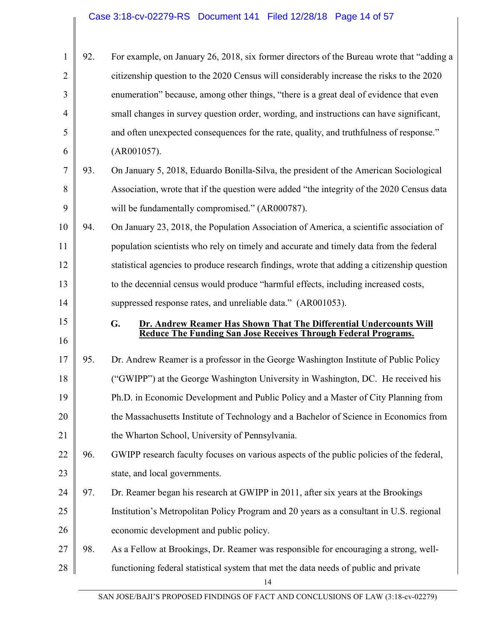| 1              | 92. | For example, on January 26, 2018, six former directors of the Bureau wrote that "adding a   |
|----------------|-----|---------------------------------------------------------------------------------------------|
| 2              |     | citizenship question to the 2020 Census will considerably increase the risks to the 2020    |
| 3              |     | enumeration" because, among other things, "there is a great deal of evidence that even      |
| $\overline{4}$ |     | small changes in survey question order, wording, and instructions can have significant,     |
| 5              |     | and often unexpected consequences for the rate, quality, and truthfulness of response."     |
| 6              |     | (AR001057).                                                                                 |
| 7              | 93. | On January 5, 2018, Eduardo Bonilla-Silva, the president of the American Sociological       |
| 8              |     | Association, wrote that if the question were added "the integrity of the 2020 Census data   |
| 9              |     | will be fundamentally compromised." (AR000787).                                             |
| 10             | 94. | On January 23, 2018, the Population Association of America, a scientific association of     |
| 11             |     | population scientists who rely on timely and accurate and timely data from the federal      |
| 12             |     | statistical agencies to produce research findings, wrote that adding a citizenship question |
| 13             |     | to the decennial census would produce "harmful effects, including increased costs,          |
| 14             |     | suppressed response rates, and unreliable data." (AR001053).                                |
| 15             |     | G.<br>Dr. Andrew Reamer Has Shown That The Differential Undercounts Will                    |
|                |     | Reduce The Funding San Jose Receives Through Federal Programs.                              |
| 16             |     |                                                                                             |
| 17             | 95. | Dr. Andrew Reamer is a professor in the George Washington Institute of Public Policy        |
| 18             |     | ("GWIPP") at the George Washington University in Washington, DC. He received his            |
| 19             |     | Ph.D. in Economic Development and Public Policy and a Master of City Planning from          |
| 20             |     | the Massachusetts Institute of Technology and a Bachelor of Science in Economics from       |
| 21             |     | the Wharton School, University of Pennsylvania.                                             |
| 22             | 96. | GWIPP research faculty focuses on various aspects of the public policies of the federal,    |
| 23             |     | state, and local governments.                                                               |
| 24             | 97. | Dr. Reamer began his research at GWIPP in 2011, after six years at the Brookings            |
| 25             |     | Institution's Metropolitan Policy Program and 20 years as a consultant in U.S. regional     |
| 26             |     | economic development and public policy.                                                     |
| 27             | 98. | As a Fellow at Brookings, Dr. Reamer was responsible for encouraging a strong, well-        |
| 28             |     | functioning federal statistical system that met the data needs of public and private<br>14  |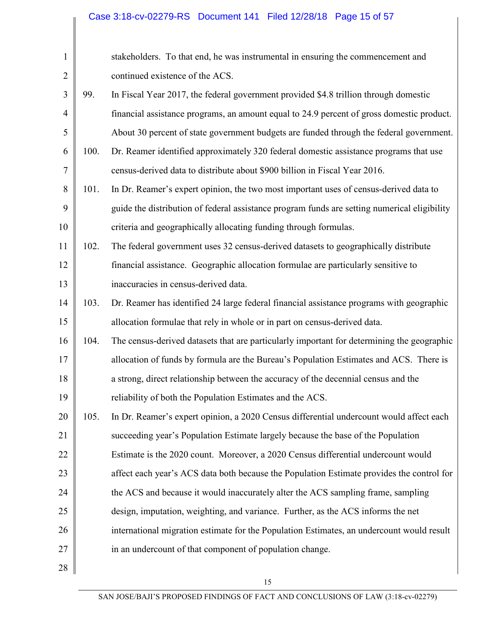# Case 3:18-cv-02279-RS Document 141 Filed 12/28/18 Page 15 of 57

| $\mathbf{1}$   |      | stakeholders. To that end, he was instrumental in ensuring the commencement and              |
|----------------|------|----------------------------------------------------------------------------------------------|
| $\overline{2}$ |      | continued existence of the ACS.                                                              |
| 3              | 99.  | In Fiscal Year 2017, the federal government provided \$4.8 trillion through domestic         |
| $\overline{4}$ |      | financial assistance programs, an amount equal to 24.9 percent of gross domestic product.    |
| 5              |      | About 30 percent of state government budgets are funded through the federal government.      |
| 6              | 100. | Dr. Reamer identified approximately 320 federal domestic assistance programs that use        |
| 7              |      | census-derived data to distribute about \$900 billion in Fiscal Year 2016.                   |
| 8              | 101. | In Dr. Reamer's expert opinion, the two most important uses of census-derived data to        |
| 9              |      | guide the distribution of federal assistance program funds are setting numerical eligibility |
| 10             |      | criteria and geographically allocating funding through formulas.                             |
| 11             | 102. | The federal government uses 32 census-derived datasets to geographically distribute          |
| 12             |      | financial assistance. Geographic allocation formulae are particularly sensitive to           |
| 13             |      | inaccuracies in census-derived data.                                                         |
| 14             | 103. | Dr. Reamer has identified 24 large federal financial assistance programs with geographic     |
| 15             |      | allocation formulae that rely in whole or in part on census-derived data.                    |
| 16             | 104. | The census-derived datasets that are particularly important for determining the geographic   |
| 17             |      | allocation of funds by formula are the Bureau's Population Estimates and ACS. There is       |
| 18             |      | a strong, direct relationship between the accuracy of the decennial census and the           |
| 19             |      | reliability of both the Population Estimates and the ACS.                                    |
| 20             | 105. | In Dr. Reamer's expert opinion, a 2020 Census differential undercount would affect each      |
| 21             |      | succeeding year's Population Estimate largely because the base of the Population             |
| 22             |      | Estimate is the 2020 count. Moreover, a 2020 Census differential undercount would            |
| 23             |      | affect each year's ACS data both because the Population Estimate provides the control for    |
| 24             |      | the ACS and because it would inaccurately alter the ACS sampling frame, sampling             |
| 25             |      | design, imputation, weighting, and variance. Further, as the ACS informs the net             |
| 26             |      | international migration estimate for the Population Estimates, an undercount would result    |
| 27             |      | in an undercount of that component of population change.                                     |
| 28             |      |                                                                                              |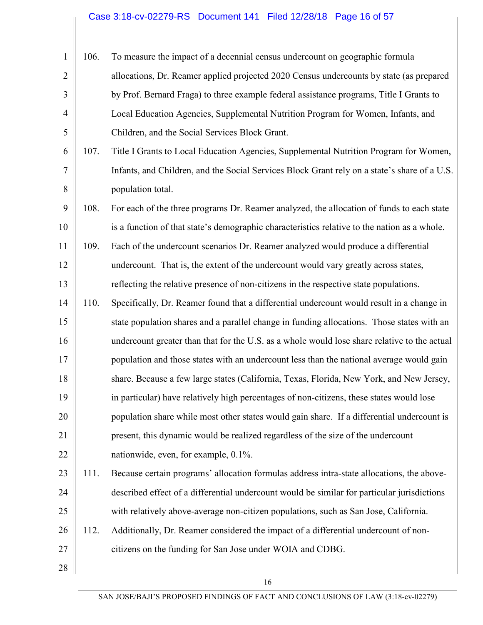#### Case 3:18-cv-02279-RS Document 141 Filed 12/28/18 Page 16 of 57

1 2 3 4 5 106. To measure the impact of a decennial census undercount on geographic formula allocations, Dr. Reamer applied projected 2020 Census undercounts by state (as prepared by Prof. Bernard Fraga) to three example federal assistance programs, Title I Grants to Local Education Agencies, Supplemental Nutrition Program for Women, Infants, and Children, and the Social Services Block Grant.

6 7 8 107. Title I Grants to Local Education Agencies, Supplemental Nutrition Program for Women, Infants, and Children, and the Social Services Block Grant rely on a state's share of a U.S. population total.

9 10 11 12 108. For each of the three programs Dr. Reamer analyzed, the allocation of funds to each state is a function of that state's demographic characteristics relative to the nation as a whole. 109. Each of the undercount scenarios Dr. Reamer analyzed would produce a differential undercount. That is, the extent of the undercount would vary greatly across states,

13 reflecting the relative presence of non-citizens in the respective state populations.

14 15 16 17 18 19 20 21 22 110. Specifically, Dr. Reamer found that a differential undercount would result in a change in state population shares and a parallel change in funding allocations. Those states with an undercount greater than that for the U.S. as a whole would lose share relative to the actual population and those states with an undercount less than the national average would gain share. Because a few large states (California, Texas, Florida, New York, and New Jersey, in particular) have relatively high percentages of non-citizens, these states would lose population share while most other states would gain share. If a differential undercount is present, this dynamic would be realized regardless of the size of the undercount nationwide, even, for example, 0.1%.

23 24 25 111. Because certain programs' allocation formulas address intra-state allocations, the abovedescribed effect of a differential undercount would be similar for particular jurisdictions with relatively above-average non-citizen populations, such as San Jose, California.

26 27 112. Additionally, Dr. Reamer considered the impact of a differential undercount of noncitizens on the funding for San Jose under WOIA and CDBG.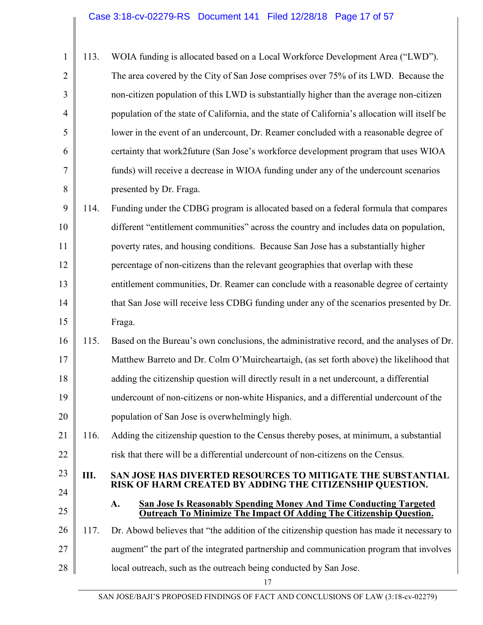| $\mathbf{1}$   | 113. | WOIA funding is allocated based on a Local Workforce Development Area ("LWD").                                          |
|----------------|------|-------------------------------------------------------------------------------------------------------------------------|
| $\overline{2}$ |      | The area covered by the City of San Jose comprises over 75% of its LWD. Because the                                     |
| 3              |      | non-citizen population of this LWD is substantially higher than the average non-citizen                                 |
| $\overline{4}$ |      | population of the state of California, and the state of California's allocation will itself be                          |
| 5              |      | lower in the event of an undercount, Dr. Reamer concluded with a reasonable degree of                                   |
| 6              |      | certainty that work2future (San Jose's workforce development program that uses WIOA                                     |
| 7              |      | funds) will receive a decrease in WIOA funding under any of the undercount scenarios                                    |
| 8              |      | presented by Dr. Fraga.                                                                                                 |
| 9              | 114. | Funding under the CDBG program is allocated based on a federal formula that compares                                    |
| 10             |      | different "entitlement communities" across the country and includes data on population,                                 |
| 11             |      | poverty rates, and housing conditions. Because San Jose has a substantially higher                                      |
| 12             |      | percentage of non-citizens than the relevant geographies that overlap with these                                        |
| 13             |      | entitlement communities, Dr. Reamer can conclude with a reasonable degree of certainty                                  |
| 14             |      | that San Jose will receive less CDBG funding under any of the scenarios presented by Dr.                                |
| 15             |      | Fraga.                                                                                                                  |
| 16             | 115. | Based on the Bureau's own conclusions, the administrative record, and the analyses of Dr.                               |
| 17             |      | Matthew Barreto and Dr. Colm O'Muircheartaigh, (as set forth above) the likelihood that                                 |
| 18             |      | adding the citizenship question will directly result in a net undercount, a differential                                |
| 19             |      | undercount of non-citizens or non-white Hispanics, and a differential undercount of the                                 |
| 20             |      | population of San Jose is overwhelmingly high.                                                                          |
| 21             | 116. | Adding the citizenship question to the Census thereby poses, at minimum, a substantial                                  |
| 22             |      | risk that there will be a differential undercount of non-citizens on the Census.                                        |
| 23             | Ш.   | SAN JOSE HAS DIVERTED RESOURCES TO MITIGATE THE SUBSTANTIAL<br>RISK OF HARM CREATED BY ADDING THE CITIZENSHIP QUESTION. |
| 24             |      | <b>San Jose Is Reasonably Spending Money And Time Conducting Targeted</b><br>A.                                         |
| 25             |      | <b>Outreach To Minimize The Impact Of Adding The Citizenship Question.</b>                                              |
| 26             | 117. | Dr. Abowd believes that "the addition of the citizenship question has made it necessary to                              |
| 27             |      | augment" the part of the integrated partnership and communication program that involves                                 |
| 28             |      | local outreach, such as the outreach being conducted by San Jose.                                                       |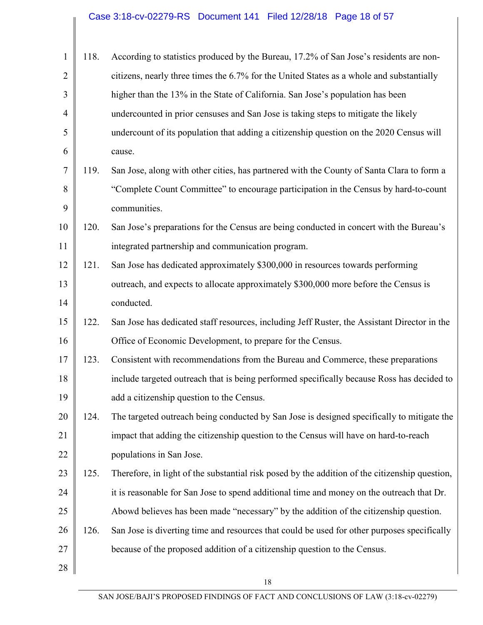| $\mathbf{1}$   | 118. | According to statistics produced by the Bureau, 17.2% of San Jose's residents are non-         |
|----------------|------|------------------------------------------------------------------------------------------------|
| $\overline{2}$ |      | citizens, nearly three times the 6.7% for the United States as a whole and substantially       |
| 3              |      | higher than the 13% in the State of California. San Jose's population has been                 |
| 4              |      | undercounted in prior censuses and San Jose is taking steps to mitigate the likely             |
| 5              |      | undercount of its population that adding a citizenship question on the 2020 Census will        |
| 6              |      | cause.                                                                                         |
| $\tau$         | 119. | San Jose, along with other cities, has partnered with the County of Santa Clara to form a      |
| 8              |      | "Complete Count Committee" to encourage participation in the Census by hard-to-count           |
| 9              |      | communities.                                                                                   |
| 10             | 120. | San Jose's preparations for the Census are being conducted in concert with the Bureau's        |
| 11             |      | integrated partnership and communication program.                                              |
| 12             | 121. | San Jose has dedicated approximately \$300,000 in resources towards performing                 |
| 13             |      | outreach, and expects to allocate approximately \$300,000 more before the Census is            |
| 14             |      | conducted.                                                                                     |
| 15             | 122. | San Jose has dedicated staff resources, including Jeff Ruster, the Assistant Director in the   |
| 16             |      | Office of Economic Development, to prepare for the Census.                                     |
| 17             | 123. | Consistent with recommendations from the Bureau and Commerce, these preparations               |
| 18             |      | include targeted outreach that is being performed specifically because Ross has decided to     |
| 19             |      | add a citizenship question to the Census.                                                      |
| 20             | 124. | The targeted outreach being conducted by San Jose is designed specifically to mitigate the     |
| 21             |      | impact that adding the citizenship question to the Census will have on hard-to-reach           |
| 22             |      | populations in San Jose.                                                                       |
| 23             | 125. | Therefore, in light of the substantial risk posed by the addition of the citizenship question, |
| 24             |      | it is reasonable for San Jose to spend additional time and money on the outreach that Dr.      |
| 25             |      | Abowd believes has been made "necessary" by the addition of the citizenship question.          |
| 26             | 126. | San Jose is diverting time and resources that could be used for other purposes specifically    |
| 27             |      | because of the proposed addition of a citizenship question to the Census.                      |
| 28             |      |                                                                                                |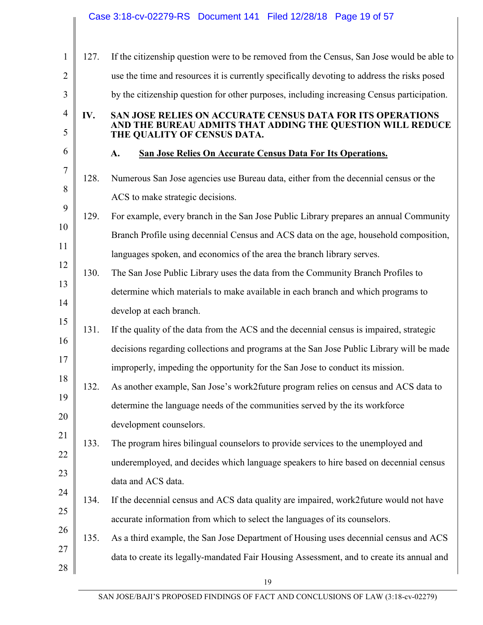|                     |      | Case 3:18-cv-02279-RS  Document 141  Filed 12/28/18  Page 19 of 57                                                                                      |
|---------------------|------|---------------------------------------------------------------------------------------------------------------------------------------------------------|
|                     |      |                                                                                                                                                         |
| $\mathbf{1}$        | 127. | If the citizenship question were to be removed from the Census, San Jose would be able to                                                               |
| $\overline{2}$      |      | use the time and resources it is currently specifically devoting to address the risks posed                                                             |
| 3                   |      | by the citizenship question for other purposes, including increasing Census participation.                                                              |
| $\overline{4}$<br>5 | IV.  | SAN JOSE RELIES ON ACCURATE CENSUS DATA FOR ITS OPERATIONS<br>AND THE BUREAU ADMITS THAT ADDING THE QUESTION WILL REDUCE<br>THE QUALITY OF CENSUS DATA. |
| 6                   |      | San Jose Relies On Accurate Census Data For Its Operations.<br>A.                                                                                       |
| $\overline{7}$      | 128. | Numerous San Jose agencies use Bureau data, either from the decennial census or the                                                                     |
| 8                   |      | ACS to make strategic decisions.                                                                                                                        |
| 9                   | 129. | For example, every branch in the San Jose Public Library prepares an annual Community                                                                   |
| 10                  |      | Branch Profile using decennial Census and ACS data on the age, household composition,                                                                   |
| 11                  |      | languages spoken, and economics of the area the branch library serves.                                                                                  |
| 12                  | 130. | The San Jose Public Library uses the data from the Community Branch Profiles to                                                                         |
| 13                  |      | determine which materials to make available in each branch and which programs to                                                                        |
| 14                  |      | develop at each branch.                                                                                                                                 |
| 15                  | 131. | If the quality of the data from the ACS and the decennial census is impaired, strategic                                                                 |
| 16                  |      | decisions regarding collections and programs at the San Jose Public Library will be made                                                                |
| 17                  |      | improperly, impeding the opportunity for the San Jose to conduct its mission.                                                                           |
| 18                  | 132. | As another example, San Jose's work2future program relies on census and ACS data to                                                                     |
| 19                  |      | determine the language needs of the communities served by the its workforce                                                                             |
| 20                  |      | development counselors.                                                                                                                                 |
| 21                  | 133. | The program hires bilingual counselors to provide services to the unemployed and                                                                        |
| 22                  |      | underemployed, and decides which language speakers to hire based on decennial census                                                                    |
| 23                  |      | data and ACS data.                                                                                                                                      |
| 24                  | 134. | If the decennial census and ACS data quality are impaired, work2future would not have                                                                   |
| 25                  |      | accurate information from which to select the languages of its counselors.                                                                              |
| 26                  | 135. | As a third example, the San Jose Department of Housing uses decennial census and ACS                                                                    |
| 27                  |      | data to create its legally-mandated Fair Housing Assessment, and to create its annual and                                                               |
| 28                  |      |                                                                                                                                                         |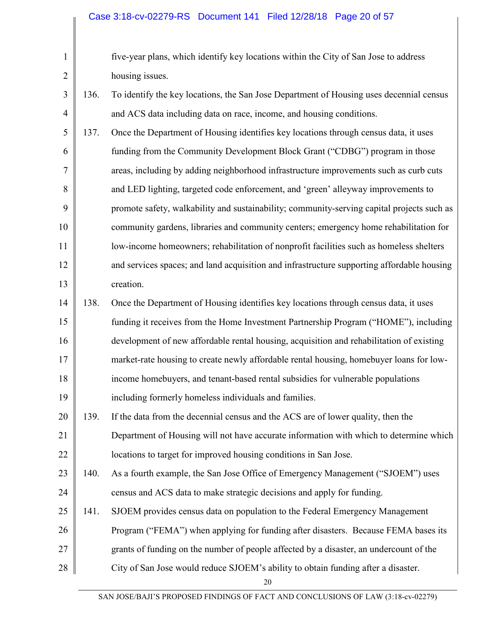2

3

4

|      | five-year plans, which identify key locations within the City of San Jose to address    |
|------|-----------------------------------------------------------------------------------------|
|      | housing issues.                                                                         |
| 136. | To identify the key locations, the San Jose Department of Housing uses decennial census |
|      | and ACS data including data on race, income, and housing conditions.                    |

5 6 7 8 9 10 11 12 13 137. Once the Department of Housing identifies key locations through census data, it uses funding from the Community Development Block Grant ("CDBG") program in those areas, including by adding neighborhood infrastructure improvements such as curb cuts and LED lighting, targeted code enforcement, and 'green' alleyway improvements to promote safety, walkability and sustainability; community-serving capital projects such as community gardens, libraries and community centers; emergency home rehabilitation for low-income homeowners; rehabilitation of nonprofit facilities such as homeless shelters and services spaces; and land acquisition and infrastructure supporting affordable housing creation.

14 15 16 17 18 19 138. Once the Department of Housing identifies key locations through census data, it uses funding it receives from the Home Investment Partnership Program ("HOME"), including development of new affordable rental housing, acquisition and rehabilitation of existing market-rate housing to create newly affordable rental housing, homebuyer loans for lowincome homebuyers, and tenant-based rental subsidies for vulnerable populations including formerly homeless individuals and families.

- 20 21 22 139. If the data from the decennial census and the ACS are of lower quality, then the Department of Housing will not have accurate information with which to determine which locations to target for improved housing conditions in San Jose.
- 23 24 140. As a fourth example, the San Jose Office of Emergency Management ("SJOEM") uses census and ACS data to make strategic decisions and apply for funding.
- 25 26 27 141. SJOEM provides census data on population to the Federal Emergency Management Program ("FEMA") when applying for funding after disasters. Because FEMA bases its grants of funding on the number of people affected by a disaster, an undercount of the
- 28 City of San Jose would reduce SJOEM's ability to obtain funding after a disaster.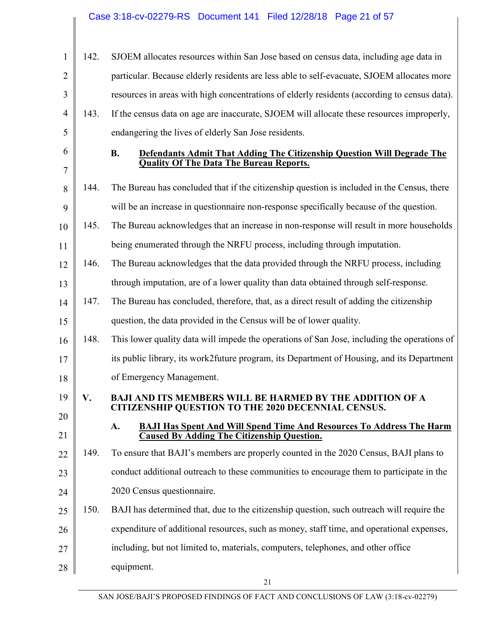| $\mathbf{1}$   | 142. | SJOEM allocates resources within San Jose based on census data, including age data in                                                  |
|----------------|------|----------------------------------------------------------------------------------------------------------------------------------------|
| $\overline{2}$ |      | particular. Because elderly residents are less able to self-evacuate, SJOEM allocates more                                             |
| 3              |      | resources in areas with high concentrations of elderly residents (according to census data).                                           |
| 4              | 143. | If the census data on age are inaccurate, SJOEM will allocate these resources improperly,                                              |
| 5              |      | endangering the lives of elderly San Jose residents.                                                                                   |
| 6              |      | <b>B.</b><br>Defendants Admit That Adding The Citizenship Question Will Degrade The                                                    |
| 7              |      | <b>Quality Of The Data The Bureau Reports.</b>                                                                                         |
| 8              | 144. | The Bureau has concluded that if the citizenship question is included in the Census, there                                             |
| 9              |      | will be an increase in questionnaire non-response specifically because of the question.                                                |
| 10             | 145. | The Bureau acknowledges that an increase in non-response will result in more households                                                |
| 11             |      | being enumerated through the NRFU process, including through imputation.                                                               |
| 12             | 146. | The Bureau acknowledges that the data provided through the NRFU process, including                                                     |
| 13             |      | through imputation, are of a lower quality than data obtained through self-response.                                                   |
| 14             | 147. | The Bureau has concluded, therefore, that, as a direct result of adding the citizenship                                                |
| 15             |      | question, the data provided in the Census will be of lower quality.                                                                    |
| 16             | 148. | This lower quality data will impede the operations of San Jose, including the operations of                                            |
| 17             |      | its public library, its work2future program, its Department of Housing, and its Department                                             |
| 18             |      | of Emergency Management.                                                                                                               |
| 19             | V.   | <b>BAJI AND ITS MEMBERS WILL BE HARMED BY THE ADDITION OF A</b><br><b>CITIZENSHIP QUESTION TO THE 2020 DECENNIAL CENSUS.</b>           |
| 20             |      |                                                                                                                                        |
| 21             |      | <b>BAJI Has Spent And Will Spend Time And Resources To Address The Harm</b><br>A.<br><b>Caused By Adding The Citizenship Question.</b> |
| 22             | 149. | To ensure that BAJI's members are properly counted in the 2020 Census, BAJI plans to                                                   |
| 23             |      | conduct additional outreach to these communities to encourage them to participate in the                                               |
| 24             |      | 2020 Census questionnaire.                                                                                                             |
| 25             | 150. | BAJI has determined that, due to the citizenship question, such outreach will require the                                              |
| 26             |      | expenditure of additional resources, such as money, staff time, and operational expenses,                                              |
| 27             |      | including, but not limited to, materials, computers, telephones, and other office                                                      |
| 28             |      | equipment.                                                                                                                             |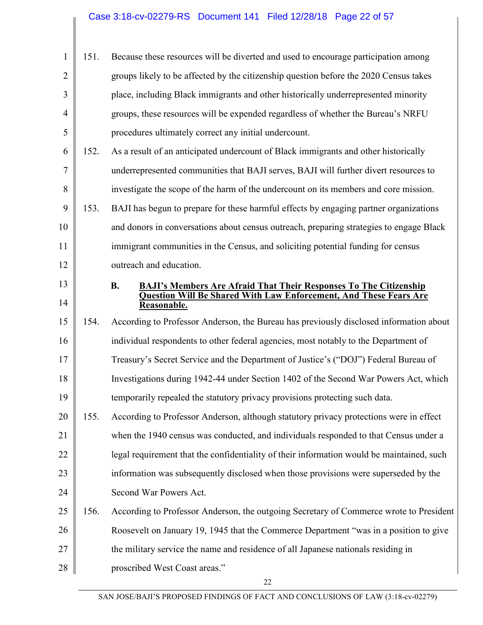| $\mathbf{1}$   | 151. | Because these resources will be diverted and used to encourage participation among        |
|----------------|------|-------------------------------------------------------------------------------------------|
| $\overline{2}$ |      | groups likely to be affected by the citizenship question before the 2020 Census takes     |
| 3              |      | place, including Black immigrants and other historically underrepresented minority        |
| $\overline{4}$ |      | groups, these resources will be expended regardless of whether the Bureau's NRFU          |
| 5              |      | procedures ultimately correct any initial undercount.                                     |
| 6              | 152. | As a result of an anticipated undercount of Black immigrants and other historically       |
| 7              |      | underrepresented communities that BAJI serves, BAJI will further divert resources to      |
| 8              |      | investigate the scope of the harm of the undercount on its members and core mission.      |
| 9              | 153. | BAJI has begun to prepare for these harmful effects by engaging partner organizations     |
| 10             |      | and donors in conversations about census outreach, preparing strategies to engage Black   |
| 11             |      | immigrant communities in the Census, and soliciting potential funding for census          |
| 12             |      | outreach and education.                                                                   |
| 13             |      | <b>B.</b><br><b>BAJI's Members Are Afraid That Their Responses To The Citizenship</b>     |
| 14             |      | <b>Question Will Be Shared With Law Enforcement, And These Fears Are</b><br>Reasonable.   |
| 15             | 154. | According to Professor Anderson, the Bureau has previously disclosed information about    |
| 16             |      | individual respondents to other federal agencies, most notably to the Department of       |
| 17             |      | Treasury's Secret Service and the Department of Justice's ("DOJ") Federal Bureau of       |
| 18             |      | Investigations during 1942-44 under Section 1402 of the Second War Powers Act, which      |
| 19             |      | temporarily repealed the statutory privacy provisions protecting such data.               |
| 20             | 155. | According to Professor Anderson, although statutory privacy protections were in effect    |
| 21             |      | when the 1940 census was conducted, and individuals responded to that Census under a      |
| 22             |      | legal requirement that the confidentiality of their information would be maintained, such |
| 23             |      | information was subsequently disclosed when those provisions were superseded by the       |
| 24             |      | Second War Powers Act.                                                                    |
| 25             | 156. | According to Professor Anderson, the outgoing Secretary of Commerce wrote to President    |
| 26             |      | Roosevelt on January 19, 1945 that the Commerce Department "was in a position to give     |
| 27             |      | the military service the name and residence of all Japanese nationals residing in         |
| 28             |      | proscribed West Coast areas."                                                             |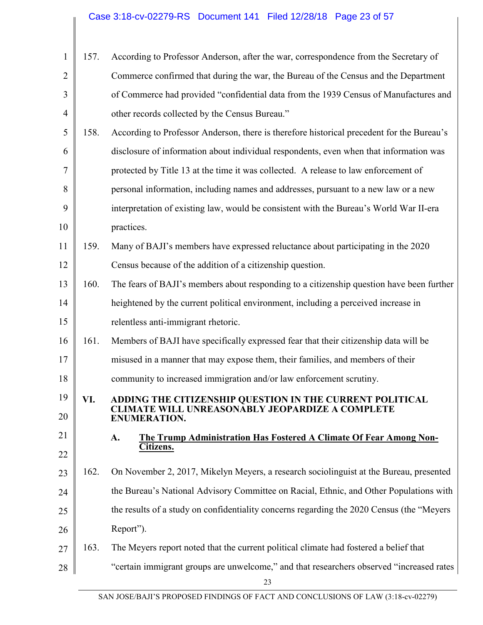| $\mathbf{1}$   | 157. | According to Professor Anderson, after the war, correspondence from the Secretary of       |
|----------------|------|--------------------------------------------------------------------------------------------|
| $\overline{2}$ |      | Commerce confirmed that during the war, the Bureau of the Census and the Department        |
| 3              |      | of Commerce had provided "confidential data from the 1939 Census of Manufactures and       |
| $\overline{4}$ |      | other records collected by the Census Bureau."                                             |
| 5              | 158. | According to Professor Anderson, there is therefore historical precedent for the Bureau's  |
| 6              |      | disclosure of information about individual respondents, even when that information was     |
| 7              |      | protected by Title 13 at the time it was collected. A release to law enforcement of        |
| 8              |      | personal information, including names and addresses, pursuant to a new law or a new        |
| 9              |      | interpretation of existing law, would be consistent with the Bureau's World War II-era     |
| 10             |      | practices.                                                                                 |
| 11             | 159. | Many of BAJI's members have expressed reluctance about participating in the 2020           |
| 12             |      | Census because of the addition of a citizenship question.                                  |
| 13             | 160. | The fears of BAJI's members about responding to a citizenship question have been further   |
| 14             |      | heightened by the current political environment, including a perceived increase in         |
| 15             |      | relentless anti-immigrant rhetoric.                                                        |
| 16             | 161. | Members of BAJI have specifically expressed fear that their citizenship data will be       |
| 17             |      | misused in a manner that may expose them, their families, and members of their             |
| 18             |      | community to increased immigration and/or law enforcement scrutiny.                        |
| 19             | VI.  | ADDING THE CITIZENSHIP QUESTION IN THE CURRENT POLITICAL                                   |
| 20             |      | <b>CLIMATE WILL UNREASONABLY JEOPARDIZE A COMPLETE</b><br><b>ENUMERATION.</b>              |
| 21             |      | The Trump Administration Has Fostered A Climate Of Fear Among Non-<br>A.                   |
| 22             |      | Citizens.                                                                                  |
| 23             | 162. | On November 2, 2017, Mikelyn Meyers, a research sociolinguist at the Bureau, presented     |
| 24             |      | the Bureau's National Advisory Committee on Racial, Ethnic, and Other Populations with     |
| 25             |      | the results of a study on confidentiality concerns regarding the 2020 Census (the "Meyers" |
| 26             |      | Report").                                                                                  |
| 27             | 163. | The Meyers report noted that the current political climate had fostered a belief that      |
| 28             |      | "certain immigrant groups are unwelcome," and that researchers observed "increased rates"  |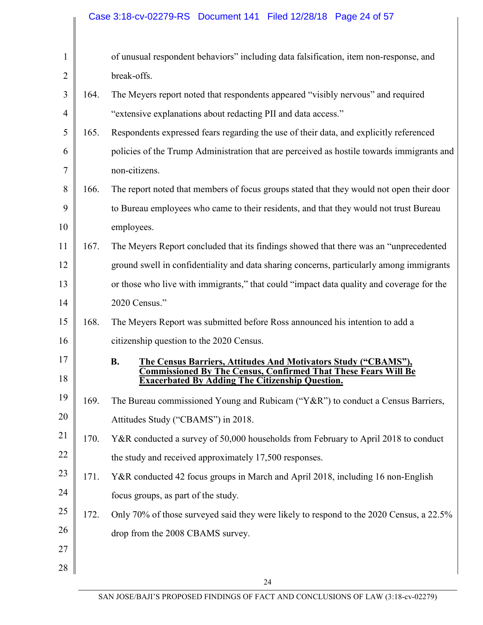|                |      | Case 3:18-cv-02279-RS Document 141 Filed 12/28/18 Page 24 of 57                                                                                                                                                       |
|----------------|------|-----------------------------------------------------------------------------------------------------------------------------------------------------------------------------------------------------------------------|
| 1              |      | of unusual respondent behaviors" including data falsification, item non-response, and                                                                                                                                 |
| $\overline{2}$ |      | break-offs.                                                                                                                                                                                                           |
| 3              | 164. | The Meyers report noted that respondents appeared "visibly nervous" and required                                                                                                                                      |
| $\overline{4}$ |      | "extensive explanations about redacting PII and data access."                                                                                                                                                         |
| 5              | 165. | Respondents expressed fears regarding the use of their data, and explicitly referenced                                                                                                                                |
| 6              |      | policies of the Trump Administration that are perceived as hostile towards immigrants and                                                                                                                             |
| 7              |      | non-citizens.                                                                                                                                                                                                         |
| 8              | 166. | The report noted that members of focus groups stated that they would not open their door                                                                                                                              |
| 9              |      | to Bureau employees who came to their residents, and that they would not trust Bureau                                                                                                                                 |
| 10             |      | employees.                                                                                                                                                                                                            |
| 11             | 167. | The Meyers Report concluded that its findings showed that there was an "unprecedented                                                                                                                                 |
| 12             |      | ground swell in confidentiality and data sharing concerns, particularly among immigrants                                                                                                                              |
| 13             |      | or those who live with immigrants," that could "impact data quality and coverage for the                                                                                                                              |
| 14             |      | 2020 Census."                                                                                                                                                                                                         |
| 15             | 168. | The Meyers Report was submitted before Ross announced his intention to add a                                                                                                                                          |
| 16             |      | citizenship question to the 2020 Census.                                                                                                                                                                              |
| 17<br>18       |      | <b>B.</b><br><b>The Census Barriers, Attitudes And Motivators Study ("CBAMS"),</b><br><b>Commissioned By The Census, Confirmed That These Fears Will Be</b><br><b>Exacerbated By Adding The Citizenship Question.</b> |
| 19             | 169. | The Bureau commissioned Young and Rubicam ("Y&R") to conduct a Census Barriers,                                                                                                                                       |
| 20             |      | Attitudes Study ("CBAMS") in 2018.                                                                                                                                                                                    |
| 21             | 170. | Y&R conducted a survey of 50,000 households from February to April 2018 to conduct                                                                                                                                    |
| 22             |      | the study and received approximately 17,500 responses.                                                                                                                                                                |
| 23             | 171. | Y&R conducted 42 focus groups in March and April 2018, including 16 non-English                                                                                                                                       |
| 24             |      | focus groups, as part of the study.                                                                                                                                                                                   |
| 25             | 172. | Only 70% of those surveyed said they were likely to respond to the 2020 Census, a 22.5%                                                                                                                               |
| 26             |      | drop from the 2008 CBAMS survey.                                                                                                                                                                                      |
| 27             |      |                                                                                                                                                                                                                       |
| 28             |      |                                                                                                                                                                                                                       |
|                |      | 24                                                                                                                                                                                                                    |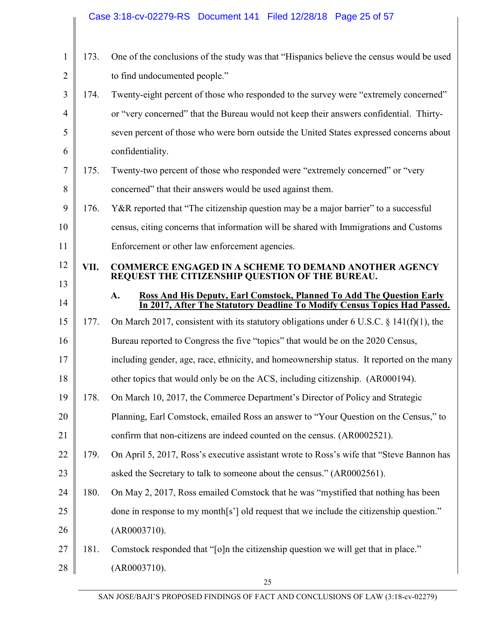|                |      | Case 3:18-cv-02279-RS Document 141 Filed 12/28/18 Page 25 of 57                                                                                          |
|----------------|------|----------------------------------------------------------------------------------------------------------------------------------------------------------|
|                |      |                                                                                                                                                          |
| $\mathbf{1}$   | 173. | One of the conclusions of the study was that "Hispanics believe the census would be used                                                                 |
| $\overline{2}$ |      | to find undocumented people."                                                                                                                            |
| 3              | 174. | Twenty-eight percent of those who responded to the survey were "extremely concerned"                                                                     |
| $\overline{4}$ |      | or "very concerned" that the Bureau would not keep their answers confidential. Thirty-                                                                   |
| 5              |      | seven percent of those who were born outside the United States expressed concerns about                                                                  |
| 6              |      | confidentiality.                                                                                                                                         |
| 7              | 175. | Twenty-two percent of those who responded were "extremely concerned" or "very                                                                            |
| 8              |      | concerned" that their answers would be used against them.                                                                                                |
| 9              | 176. | Y&R reported that "The citizenship question may be a major barrier" to a successful                                                                      |
| 10             |      | census, citing concerns that information will be shared with Immigrations and Customs                                                                    |
| 11             |      | Enforcement or other law enforcement agencies.                                                                                                           |
| 12             | VII. | <b>COMMERCE ENGAGED IN A SCHEME TO DEMAND ANOTHER AGENCY</b>                                                                                             |
| 13             |      | REQUEST THE CITIZENSHIP QUESTION OF THE BUREAU.                                                                                                          |
| 14             |      | Ross And His Deputy, Earl Comstock, Planned To Add The Question Early<br>A.<br>In 2017, After The Statutory Deadline To Modify Census Topics Had Passed. |
| 15             | 177. | On March 2017, consistent with its statutory obligations under 6 U.S.C. $\S$ 141(f)(1), the                                                              |
| 16             |      | Bureau reported to Congress the five "topics" that would be on the 2020 Census,                                                                          |
| 17             |      | including gender, age, race, ethnicity, and homeownership status. It reported on the many                                                                |
| 18             |      | other topics that would only be on the ACS, including citizenship. (AR000194).                                                                           |
| 19             | 178. | On March 10, 2017, the Commerce Department's Director of Policy and Strategic                                                                            |
| 20             |      | Planning, Earl Comstock, emailed Ross an answer to "Your Question on the Census," to                                                                     |
| 21             |      | confirm that non-citizens are indeed counted on the census. (AR0002521).                                                                                 |
| 22             | 179. | On April 5, 2017, Ross's executive assistant wrote to Ross's wife that "Steve Bannon has                                                                 |
| 23             |      | asked the Secretary to talk to someone about the census." (AR0002561).                                                                                   |
| 24             | 180. | On May 2, 2017, Ross emailed Comstock that he was "mystified that nothing has been                                                                       |
| 25             |      | done in response to my month[s'] old request that we include the citizenship question."                                                                  |
| 26             |      | (AR0003710).                                                                                                                                             |
| 27             | 181. | Comstock responded that "[o]n the citizenship question we will get that in place."                                                                       |
| 28             |      | (AR0003710).                                                                                                                                             |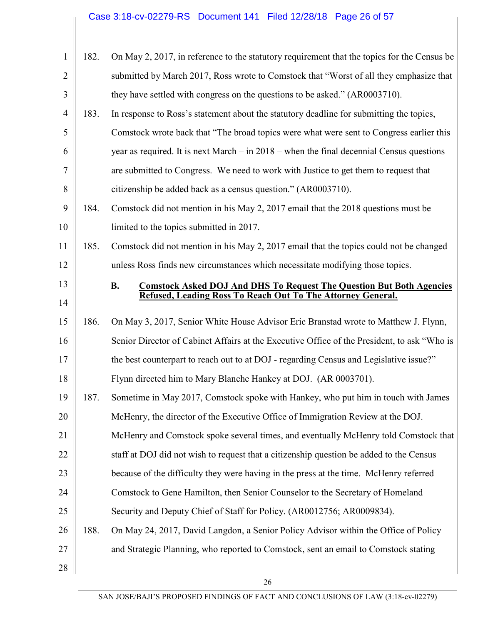| $\mathbf{1}$   | 182. | On May 2, 2017, in reference to the statutory requirement that the topics for the Census be |
|----------------|------|---------------------------------------------------------------------------------------------|
| $\overline{2}$ |      | submitted by March 2017, Ross wrote to Comstock that "Worst of all they emphasize that      |
| 3              |      | they have settled with congress on the questions to be asked." (AR0003710).                 |
| $\overline{4}$ | 183. | In response to Ross's statement about the statutory deadline for submitting the topics,     |
| 5              |      | Comstock wrote back that "The broad topics were what were sent to Congress earlier this     |
| 6              |      | year as required. It is next March $-$ in 2018 – when the final decennial Census questions  |
| 7              |      | are submitted to Congress. We need to work with Justice to get them to request that         |
| 8              |      | citizenship be added back as a census question." (AR0003710).                               |
| 9              | 184. | Comstock did not mention in his May 2, 2017 email that the 2018 questions must be           |
| 10             |      | limited to the topics submitted in 2017.                                                    |
| 11             | 185. | Comstock did not mention in his May 2, 2017 email that the topics could not be changed      |
| 12             |      | unless Ross finds new circumstances which necessitate modifying those topics.               |
| 13             |      | <b>Comstock Asked DOJ And DHS To Request The Question But Both Agencies</b><br><b>B.</b>    |
| 14             |      | Refused, Leading Ross To Reach Out To The Attorney General.                                 |
| 15             | 186. | On May 3, 2017, Senior White House Advisor Eric Branstad wrote to Matthew J. Flynn,         |
| 16             |      | Senior Director of Cabinet Affairs at the Executive Office of the President, to ask "Who is |
| 17             |      | the best counterpart to reach out to at DOJ - regarding Census and Legislative issue?"      |
| 18             |      | Flynn directed him to Mary Blanche Hankey at DOJ. (AR 0003701).                             |
| 19             | 187. | Sometime in May 2017, Comstock spoke with Hankey, who put him in touch with James           |
| 20             |      | McHenry, the director of the Executive Office of Immigration Review at the DOJ.             |
| 21             |      | McHenry and Comstock spoke several times, and eventually McHenry told Comstock that         |
| 22             |      | staff at DOJ did not wish to request that a citizenship question be added to the Census     |
|                |      |                                                                                             |
| 23             |      | because of the difficulty they were having in the press at the time. McHenry referred       |
| 24             |      | Comstock to Gene Hamilton, then Senior Counselor to the Secretary of Homeland               |
| 25             |      | Security and Deputy Chief of Staff for Policy. (AR0012756; AR0009834).                      |
| 26             | 188. | On May 24, 2017, David Langdon, a Senior Policy Advisor within the Office of Policy         |
| 27             |      | and Strategic Planning, who reported to Comstock, sent an email to Comstock stating         |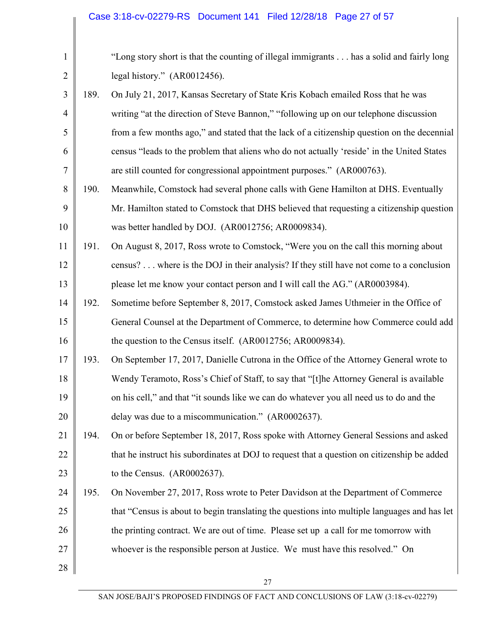| $\mathbf{1}$   |      | "Long story short is that the counting of illegal immigrants has a solid and fairly long     |
|----------------|------|----------------------------------------------------------------------------------------------|
| $\overline{2}$ |      | legal history." (AR0012456).                                                                 |
| 3              | 189. | On July 21, 2017, Kansas Secretary of State Kris Kobach emailed Ross that he was             |
| $\overline{4}$ |      | writing "at the direction of Steve Bannon," "following up on our telephone discussion        |
| 5              |      | from a few months ago," and stated that the lack of a citizenship question on the decennial  |
| 6              |      | census "leads to the problem that aliens who do not actually 'reside' in the United States   |
| 7              |      | are still counted for congressional appointment purposes." (AR000763).                       |
| 8              | 190. | Meanwhile, Comstock had several phone calls with Gene Hamilton at DHS. Eventually            |
| 9              |      | Mr. Hamilton stated to Comstock that DHS believed that requesting a citizenship question     |
| 10             |      | was better handled by DOJ. (AR0012756; AR0009834).                                           |
| 11             | 191. | On August 8, 2017, Ross wrote to Comstock, "Were you on the call this morning about          |
| 12             |      | census? where is the DOJ in their analysis? If they still have not come to a conclusion      |
| 13             |      | please let me know your contact person and I will call the AG." (AR0003984).                 |
| 14             | 192. | Sometime before September 8, 2017, Comstock asked James Uthmeier in the Office of            |
| 15             |      | General Counsel at the Department of Commerce, to determine how Commerce could add           |
| 16             |      | the question to the Census itself. (AR0012756; AR0009834).                                   |
| 17             | 193. | On September 17, 2017, Danielle Cutrona in the Office of the Attorney General wrote to       |
| 18             |      | Wendy Teramoto, Ross's Chief of Staff, to say that "[t]he Attorney General is available      |
| 19             |      | on his cell," and that "it sounds like we can do whatever you all need us to do and the      |
| 20             |      | delay was due to a miscommunication." (AR0002637).                                           |
| 21             | 194. | On or before September 18, 2017, Ross spoke with Attorney General Sessions and asked         |
| 22             |      | that he instruct his subordinates at DOJ to request that a question on citizenship be added  |
| 23             |      | to the Census. (AR0002637).                                                                  |
| 24             | 195. | On November 27, 2017, Ross wrote to Peter Davidson at the Department of Commerce             |
| 25             |      | that "Census is about to begin translating the questions into multiple languages and has let |
| 26             |      | the printing contract. We are out of time. Please set up a call for me tomorrow with         |
| 27             |      | whoever is the responsible person at Justice. We must have this resolved." On                |
| 28             |      |                                                                                              |
|                |      | 27                                                                                           |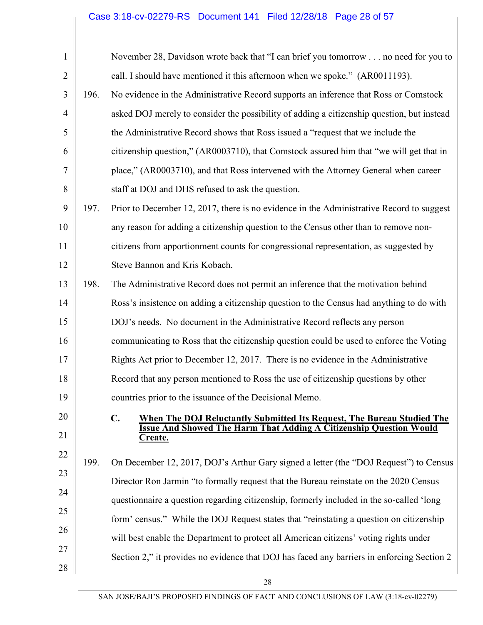## Case 3:18-cv-02279-RS Document 141 Filed 12/28/18 Page 28 of 57

| $\mathbf{1}$   |      | November 28, Davidson wrote back that "I can brief you tomorrow no need for you to         |
|----------------|------|--------------------------------------------------------------------------------------------|
| $\overline{2}$ |      | call. I should have mentioned it this afternoon when we spoke." (AR0011193).               |
| 3              | 196. | No evidence in the Administrative Record supports an inference that Ross or Comstock       |
| $\overline{4}$ |      | asked DOJ merely to consider the possibility of adding a citizenship question, but instead |
| 5              |      | the Administrative Record shows that Ross issued a "request that we include the            |
| 6              |      | citizenship question," (AR0003710), that Comstock assured him that "we will get that in    |
| 7              |      | place," (AR0003710), and that Ross intervened with the Attorney General when career        |
| 8              |      | staff at DOJ and DHS refused to ask the question.                                          |
| 9              | 197. | Prior to December 12, 2017, there is no evidence in the Administrative Record to suggest   |
| 10             |      | any reason for adding a citizenship question to the Census other than to remove non-       |
| 11             |      | citizens from apportionment counts for congressional representation, as suggested by       |
| 12             |      | Steve Bannon and Kris Kobach.                                                              |
| 13             | 198. | The Administrative Record does not permit an inference that the motivation behind          |
| 14             |      | Ross's insistence on adding a citizenship question to the Census had anything to do with   |
| 15             |      | DOJ's needs. No document in the Administrative Record reflects any person                  |
| 16             |      | communicating to Ross that the citizenship question could be used to enforce the Voting    |
| 17             |      | Rights Act prior to December 12, 2017. There is no evidence in the Administrative          |
| 18             |      | Record that any person mentioned to Ross the use of citizenship questions by other         |
| 19             |      | countries prior to the issuance of the Decisional Memo.                                    |
| 20             |      | C.<br><b>When The DOJ Reluctantly Submitted Its Request, The Bureau Studied The</b>        |
| 21             |      | <b>Issue And Showed The Harm That Adding A Citizenship Question Would</b><br>Create.       |
| 22             | 199. | On December 12, 2017, DOJ's Arthur Gary signed a letter (the "DOJ Request") to Census      |
| 23             |      | Director Ron Jarmin "to formally request that the Bureau reinstate on the 2020 Census      |
| 24             |      | questionnaire a question regarding citizenship, formerly included in the so-called 'long   |
| 25             |      | form' census." While the DOJ Request states that "reinstating a question on citizenship    |
| 26             |      | will best enable the Department to protect all American citizens' voting rights under      |
| 27             |      | Section 2," it provides no evidence that DOJ has faced any barriers in enforcing Section 2 |
| 28             |      |                                                                                            |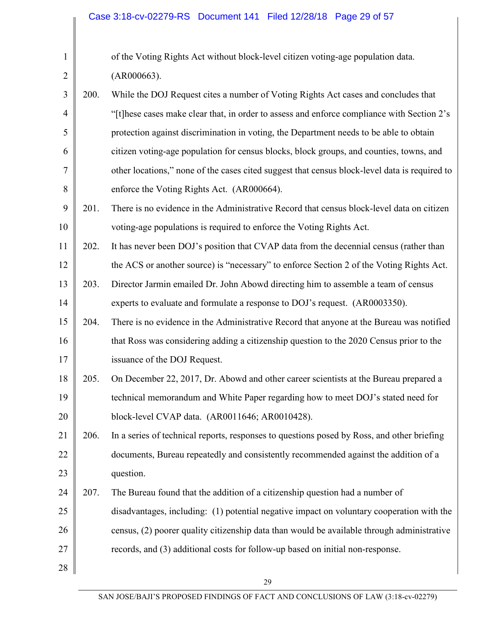| $\mathbf{1}$   |      | of the Voting Rights Act without block-level citizen voting-age population data.              |
|----------------|------|-----------------------------------------------------------------------------------------------|
| $\overline{2}$ |      | (AR000663).                                                                                   |
| 3              | 200. | While the DOJ Request cites a number of Voting Rights Act cases and concludes that            |
| $\overline{4}$ |      | "[t] hese cases make clear that, in order to assess and enforce compliance with Section 2's   |
| 5              |      | protection against discrimination in voting, the Department needs to be able to obtain        |
| 6              |      | citizen voting-age population for census blocks, block groups, and counties, towns, and       |
| $\overline{7}$ |      | other locations," none of the cases cited suggest that census block-level data is required to |
| 8              |      | enforce the Voting Rights Act. (AR000664).                                                    |
| 9              | 201. | There is no evidence in the Administrative Record that census block-level data on citizen     |
| 10             |      | voting-age populations is required to enforce the Voting Rights Act.                          |
| 11             | 202. | It has never been DOJ's position that CVAP data from the decennial census (rather than        |
| 12             |      | the ACS or another source) is "necessary" to enforce Section 2 of the Voting Rights Act.      |
| 13             | 203. | Director Jarmin emailed Dr. John Abowd directing him to assemble a team of census             |
| 14             |      | experts to evaluate and formulate a response to DOJ's request. (AR0003350).                   |
| 15             | 204. | There is no evidence in the Administrative Record that anyone at the Bureau was notified      |
| 16             |      | that Ross was considering adding a citizenship question to the 2020 Census prior to the       |
| 17             |      | issuance of the DOJ Request.                                                                  |
| 18             | 205. | On December 22, 2017, Dr. Abowd and other career scientists at the Bureau prepared a          |
| 19             |      | technical memorandum and White Paper regarding how to meet DOJ's stated need for              |
| 20             |      | block-level CVAP data. (AR0011646; AR0010428).                                                |
| 21             | 206. | In a series of technical reports, responses to questions posed by Ross, and other briefing    |
| 22             |      | documents, Bureau repeatedly and consistently recommended against the addition of a           |
| 23             |      | question.                                                                                     |
| 24             | 207. | The Bureau found that the addition of a citizenship question had a number of                  |
| 25             |      | disadvantages, including: (1) potential negative impact on voluntary cooperation with the     |
| 26             |      | census, (2) poorer quality citizenship data than would be available through administrative    |
| 27             |      | records, and (3) additional costs for follow-up based on initial non-response.                |
| 28             |      |                                                                                               |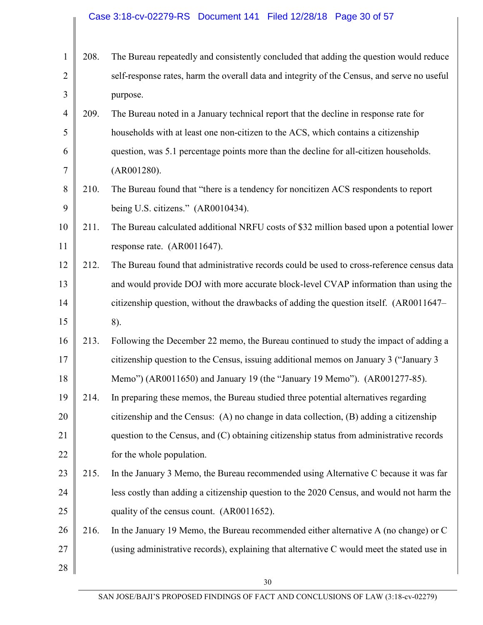| 1              | 208. | The Bureau repeatedly and consistently concluded that adding the question would reduce      |
|----------------|------|---------------------------------------------------------------------------------------------|
| $\overline{2}$ |      | self-response rates, harm the overall data and integrity of the Census, and serve no useful |
| 3              |      | purpose.                                                                                    |
| $\overline{4}$ | 209. | The Bureau noted in a January technical report that the decline in response rate for        |
| 5              |      | households with at least one non-citizen to the ACS, which contains a citizenship           |
| 6              |      | question, was 5.1 percentage points more than the decline for all-citizen households.       |
| 7              |      | (AR001280).                                                                                 |
| 8              | 210. | The Bureau found that "there is a tendency for noncitizen ACS respondents to report         |
| 9              |      | being U.S. citizens." (AR0010434).                                                          |
| 10             | 211. | The Bureau calculated additional NRFU costs of \$32 million based upon a potential lower    |
| 11             |      | response rate. (AR0011647).                                                                 |
| 12             | 212. | The Bureau found that administrative records could be used to cross-reference census data   |
| 13             |      | and would provide DOJ with more accurate block-level CVAP information than using the        |
| 14             |      | citizenship question, without the drawbacks of adding the question itself. (AR0011647–      |
| 15             |      | 8).                                                                                         |
| 16             | 213. | Following the December 22 memo, the Bureau continued to study the impact of adding a        |
| 17             |      | citizenship question to the Census, issuing additional memos on January 3 ("January 3       |
| 18             |      | Memo") (AR0011650) and January 19 (the "January 19 Memo"). (AR001277-85).                   |
| 19             | 214. | In preparing these memos, the Bureau studied three potential alternatives regarding         |
| 20             |      | citizenship and the Census: (A) no change in data collection, (B) adding a citizenship      |
| 21             |      | question to the Census, and (C) obtaining citizenship status from administrative records    |
| 22             |      | for the whole population.                                                                   |
| 23             | 215. | In the January 3 Memo, the Bureau recommended using Alternative C because it was far        |
| 24             |      | less costly than adding a citizenship question to the 2020 Census, and would not harm the   |
| 25             |      | quality of the census count. (AR0011652).                                                   |
| 26             | 216. | In the January 19 Memo, the Bureau recommended either alternative A (no change) or C        |
| 27             |      | (using administrative records), explaining that alternative C would meet the stated use in  |
| 28             |      |                                                                                             |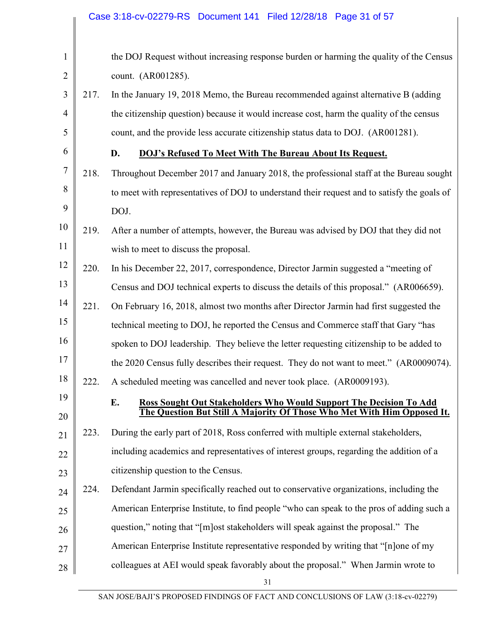| $\mathbf{1}$   |      | the DOJ Request without increasing response burden or harming the quality of the Census     |
|----------------|------|---------------------------------------------------------------------------------------------|
| $\overline{2}$ |      | count. (AR001285).                                                                          |
| 3              | 217. | In the January 19, 2018 Memo, the Bureau recommended against alternative B (adding          |
| $\overline{4}$ |      | the citizenship question) because it would increase cost, harm the quality of the census    |
| 5              |      | count, and the provide less accurate citizenship status data to DOJ. (AR001281).            |
| 6              |      | D.<br><b>DOJ's Refused To Meet With The Bureau About Its Request.</b>                       |
| 7              | 218. | Throughout December 2017 and January 2018, the professional staff at the Bureau sought      |
| 8              |      | to meet with representatives of DOJ to understand their request and to satisfy the goals of |
| 9              |      | DOJ.                                                                                        |
| 10             | 219. | After a number of attempts, however, the Bureau was advised by DOJ that they did not        |
| 11             |      | wish to meet to discuss the proposal.                                                       |
| 12             | 220. | In his December 22, 2017, correspondence, Director Jarmin suggested a "meeting of           |
| 13             |      | Census and DOJ technical experts to discuss the details of this proposal." (AR006659).      |
| 14             | 221. | On February 16, 2018, almost two months after Director Jarmin had first suggested the       |
| 15             |      | technical meeting to DOJ, he reported the Census and Commerce staff that Gary "has          |
| 16             |      | spoken to DOJ leadership. They believe the letter requesting citizenship to be added to     |
| 17             |      | the 2020 Census fully describes their request. They do not want to meet." (AR0009074).      |
| 18             | 222. | A scheduled meeting was cancelled and never took place. (AR0009193).                        |
| 19             |      | E.<br><b>Ross Sought Out Stakeholders Who Would Support The Decision To Add</b>             |
| 20             |      | The Question But Still A Majority Of Those Who Met With Him Opposed It.                     |
| 21             | 223. | During the early part of 2018, Ross conferred with multiple external stakeholders,          |
| 22             |      | including academics and representatives of interest groups, regarding the addition of a     |
| 23             |      | citizenship question to the Census.                                                         |
| 24             | 224. | Defendant Jarmin specifically reached out to conservative organizations, including the      |
| 25             |      | American Enterprise Institute, to find people "who can speak to the pros of adding such a   |
| 26             |      | question," noting that "[m] ost stakeholders will speak against the proposal." The          |
| 27             |      | American Enterprise Institute representative responded by writing that "[n]one of my        |
| 28             |      | colleagues at AEI would speak favorably about the proposal." When Jarmin wrote to           |
|                |      | 31                                                                                          |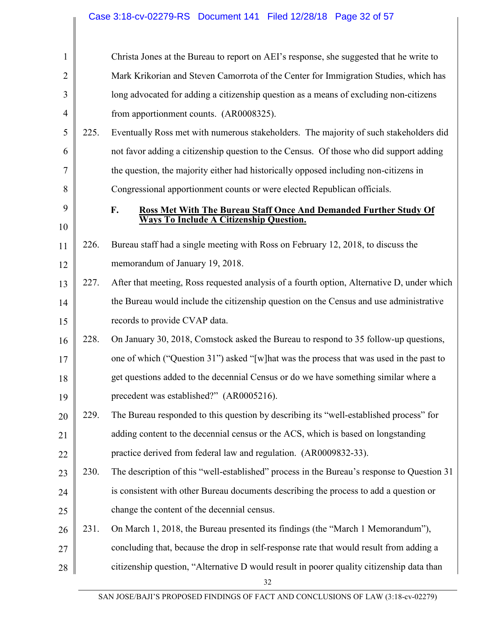|                |      | Case 3:18-cv-02279-RS Document 141 Filed 12/28/18 Page 32 of 57                            |
|----------------|------|--------------------------------------------------------------------------------------------|
|                |      |                                                                                            |
| $\mathbf{1}$   |      | Christa Jones at the Bureau to report on AEI's response, she suggested that he write to    |
| $\overline{2}$ |      | Mark Krikorian and Steven Camorrota of the Center for Immigration Studies, which has       |
| 3              |      | long advocated for adding a citizenship question as a means of excluding non-citizens      |
| $\overline{4}$ |      | from apportionment counts. (AR0008325).                                                    |
| 5              | 225. | Eventually Ross met with numerous stakeholders. The majority of such stakeholders did      |
| 6              |      | not favor adding a citizenship question to the Census. Of those who did support adding     |
| $\tau$         |      | the question, the majority either had historically opposed including non-citizens in       |
| 8              |      | Congressional apportionment counts or were elected Republican officials.                   |
| 9              |      | F.<br>Ross Met With The Bureau Staff Once And Demanded Further Study Of                    |
| 10             |      | <b>Ways To Include A Citizenship Question.</b>                                             |
| 11             | 226. | Bureau staff had a single meeting with Ross on February 12, 2018, to discuss the           |
| 12             |      | memorandum of January 19, 2018.                                                            |
| 13             | 227. | After that meeting, Ross requested analysis of a fourth option, Alternative D, under which |
| 14             |      | the Bureau would include the citizenship question on the Census and use administrative     |
| 15             |      | records to provide CVAP data.                                                              |
| 16             | 228. | On January 30, 2018, Comstock asked the Bureau to respond to 35 follow-up questions,       |
| 17             |      | one of which ("Question 31") asked "[w] hat was the process that was used in the past to   |
| 18             |      | get questions added to the decennial Census or do we have something similar where a        |
| 19             |      | precedent was established?" (AR0005216).                                                   |
| 20             | 229. | The Bureau responded to this question by describing its "well-established process" for     |
| 21             |      | adding content to the decennial census or the ACS, which is based on longstanding          |
| 22             |      | practice derived from federal law and regulation. (AR0009832-33).                          |
| 23             | 230. | The description of this "well-established" process in the Bureau's response to Question 31 |
| 24             |      | is consistent with other Bureau documents describing the process to add a question or      |
| 25             |      | change the content of the decennial census.                                                |
| 26             | 231. | On March 1, 2018, the Bureau presented its findings (the "March 1 Memorandum"),            |
| 27             |      | concluding that, because the drop in self-response rate that would result from adding a    |
| 28             |      | citizenship question, "Alternative D would result in poorer quality citizenship data than  |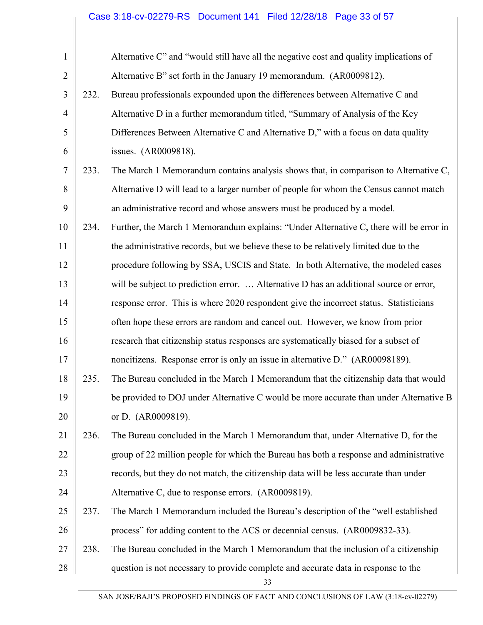## Case 3:18-cv-02279-RS Document 141 Filed 12/28/18 Page 33 of 57

| $\mathbf{1}$   |      | Alternative C" and "would still have all the negative cost and quality implications of   |
|----------------|------|------------------------------------------------------------------------------------------|
| $\overline{2}$ |      | Alternative B" set forth in the January 19 memorandum. (AR0009812).                      |
| 3              | 232. | Bureau professionals expounded upon the differences between Alternative C and            |
| $\overline{4}$ |      | Alternative D in a further memorandum titled, "Summary of Analysis of the Key            |
| 5              |      | Differences Between Alternative C and Alternative D," with a focus on data quality       |
| 6              |      | issues. (AR0009818).                                                                     |
| 7              | 233. | The March 1 Memorandum contains analysis shows that, in comparison to Alternative C,     |
| 8              |      | Alternative D will lead to a larger number of people for whom the Census cannot match    |
| 9              |      | an administrative record and whose answers must be produced by a model.                  |
| 10             | 234. | Further, the March 1 Memorandum explains: "Under Alternative C, there will be error in   |
| 11             |      | the administrative records, but we believe these to be relatively limited due to the     |
| 12             |      | procedure following by SSA, USCIS and State. In both Alternative, the modeled cases      |
| 13             |      | will be subject to prediction error.  Alternative D has an additional source or error,   |
| 14             |      | response error. This is where 2020 respondent give the incorrect status. Statisticians   |
| 15             |      | often hope these errors are random and cancel out. However, we know from prior           |
| 16             |      | research that citizenship status responses are systematically biased for a subset of     |
| 17             |      | noncitizens. Response error is only an issue in alternative D." (AR00098189).            |
| 18             | 235. | The Bureau concluded in the March 1 Memorandum that the citizenship data that would      |
| 19             |      | be provided to DOJ under Alternative C would be more accurate than under Alternative B   |
| 20             |      | or D. (AR0009819).                                                                       |
| 21             | 236. | The Bureau concluded in the March 1 Memorandum that, under Alternative D, for the        |
| 22             |      | group of 22 million people for which the Bureau has both a response and administrative   |
| 23             |      | records, but they do not match, the citizenship data will be less accurate than under    |
| 24             |      | Alternative C, due to response errors. (AR0009819).                                      |
| 25             | 237. | The March 1 Memorandum included the Bureau's description of the "well established"       |
| 26             |      | process" for adding content to the ACS or decennial census. (AR0009832-33).              |
| 27             | 238. | The Bureau concluded in the March 1 Memorandum that the inclusion of a citizenship       |
| 28             |      | question is not necessary to provide complete and accurate data in response to the<br>33 |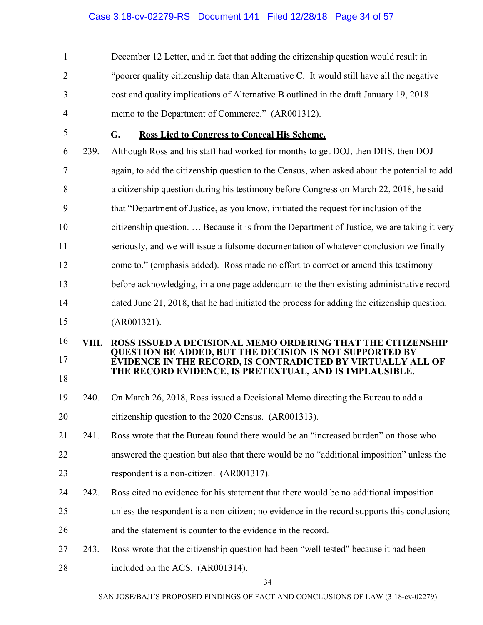| 1              |       | December 12 Letter, and in fact that adding the citizenship question would result in                                                 |
|----------------|-------|--------------------------------------------------------------------------------------------------------------------------------------|
| 2              |       | "poorer quality citizenship data than Alternative C. It would still have all the negative                                            |
| 3              |       | cost and quality implications of Alternative B outlined in the draft January 19, 2018                                                |
| $\overline{4}$ |       | memo to the Department of Commerce." (AR001312).                                                                                     |
| 5              |       | G.<br>Ross Lied to Congress to Conceal His Scheme.                                                                                   |
| 6              | 239.  | Although Ross and his staff had worked for months to get DOJ, then DHS, then DOJ                                                     |
| 7              |       | again, to add the citizenship question to the Census, when asked about the potential to add                                          |
| 8              |       | a citizenship question during his testimony before Congress on March 22, 2018, he said                                               |
| 9              |       | that "Department of Justice, as you know, initiated the request for inclusion of the                                                 |
| 10             |       | citizenship question.  Because it is from the Department of Justice, we are taking it very                                           |
| 11             |       | seriously, and we will issue a fulsome documentation of whatever conclusion we finally                                               |
| 12             |       | come to." (emphasis added). Ross made no effort to correct or amend this testimony                                                   |
| 13             |       | before acknowledging, in a one page addendum to the then existing administrative record                                              |
| 14             |       | dated June 21, 2018, that he had initiated the process for adding the citizenship question.                                          |
| 15             |       | (AR001321).                                                                                                                          |
| 16             | VIII. | ROSS ISSUED A DECISIONAL MEMO ORDERING THAT THE CITIZENSHIP                                                                          |
| 17             |       | <b>QUESTION BE ADDED, BUT THE DECISION IS NOT SUPPORTED BY</b><br><b>EVIDENCE IN THE RECORD, IS CONTRADICTED BY VIRTUALLY ALL OF</b> |
| 18             |       | THE RECORD EVIDENCE, IS PRETEXTUAL, AND IS IMPLAUSIBLE.                                                                              |
| 19             | 240.  | On March 26, 2018, Ross issued a Decisional Memo directing the Bureau to add a                                                       |
| 20             |       | citizenship question to the 2020 Census. (AR001313).                                                                                 |
| 21             | 241.  | Ross wrote that the Bureau found there would be an "increased burden" on those who                                                   |
| 22             |       | answered the question but also that there would be no "additional imposition" unless the                                             |
| 23             |       | respondent is a non-citizen. (AR001317).                                                                                             |
| 24             | 242.  | Ross cited no evidence for his statement that there would be no additional imposition                                                |
| 25             |       | unless the respondent is a non-citizen; no evidence in the record supports this conclusion;                                          |
| 26             |       | and the statement is counter to the evidence in the record.                                                                          |
| 27             | 243.  | Ross wrote that the citizenship question had been "well tested" because it had been                                                  |
| 28             |       | included on the ACS. (AR001314).                                                                                                     |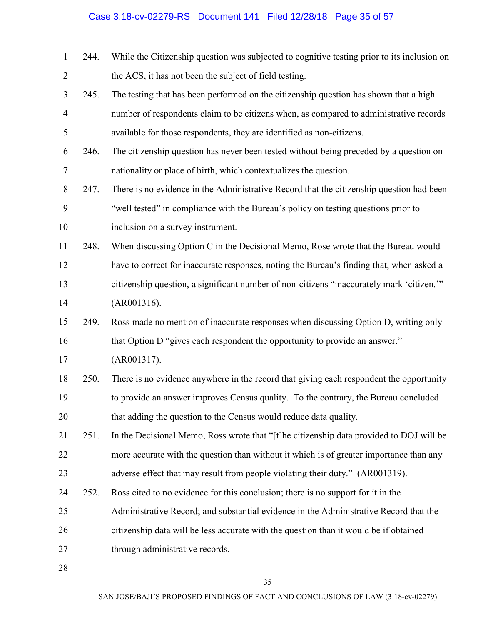## Case 3:18-cv-02279-RS Document 141 Filed 12/28/18 Page 35 of 57

| $\mathbf{1}$   | 244. | While the Citizenship question was subjected to cognitive testing prior to its inclusion on |
|----------------|------|---------------------------------------------------------------------------------------------|
| $\overline{2}$ |      | the ACS, it has not been the subject of field testing.                                      |
| 3              | 245. | The testing that has been performed on the citizenship question has shown that a high       |
| $\overline{4}$ |      | number of respondents claim to be citizens when, as compared to administrative records      |
| 5              |      | available for those respondents, they are identified as non-citizens.                       |
| 6              | 246. | The citizenship question has never been tested without being preceded by a question on      |
| 7              |      | nationality or place of birth, which contextualizes the question.                           |
| 8              | 247. | There is no evidence in the Administrative Record that the citizenship question had been    |
| 9              |      | "well tested" in compliance with the Bureau's policy on testing questions prior to          |
| 10             |      | inclusion on a survey instrument.                                                           |
| 11             | 248. | When discussing Option C in the Decisional Memo, Rose wrote that the Bureau would           |
| 12             |      | have to correct for inaccurate responses, noting the Bureau's finding that, when asked a    |
| 13             |      | citizenship question, a significant number of non-citizens "inaccurately mark 'citizen."    |
| 14             |      | (AR001316).                                                                                 |
| 15             | 249. | Ross made no mention of inaccurate responses when discussing Option D, writing only         |
| 16             |      | that Option D "gives each respondent the opportunity to provide an answer."                 |
| 17             |      | (AR001317).                                                                                 |
| 18             | 250. | There is no evidence anywhere in the record that giving each respondent the opportunity     |
| 19             |      | to provide an answer improves Census quality. To the contrary, the Bureau concluded         |
| 20             |      | that adding the question to the Census would reduce data quality.                           |
| 21             | 251. | In the Decisional Memo, Ross wrote that "[t] he citizenship data provided to DOJ will be    |
| 22             |      | more accurate with the question than without it which is of greater importance than any     |
| 23             |      | adverse effect that may result from people violating their duty." (AR001319).               |
| 24             | 252. | Ross cited to no evidence for this conclusion; there is no support for it in the            |
| 25             |      | Administrative Record; and substantial evidence in the Administrative Record that the       |
| 26             |      | citizenship data will be less accurate with the question than it would be if obtained       |
| 27             |      | through administrative records.                                                             |
| 28             |      |                                                                                             |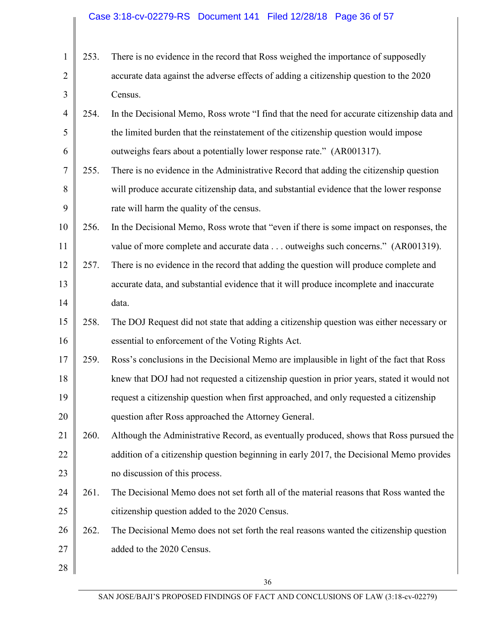| $\mathbf{1}$   | 253. | There is no evidence in the record that Ross weighed the importance of supposedly          |
|----------------|------|--------------------------------------------------------------------------------------------|
| $\overline{2}$ |      | accurate data against the adverse effects of adding a citizenship question to the 2020     |
| 3              |      | Census.                                                                                    |
| $\overline{4}$ | 254. | In the Decisional Memo, Ross wrote "I find that the need for accurate citizenship data and |
| 5              |      | the limited burden that the reinstatement of the citizenship question would impose         |
| 6              |      | outweighs fears about a potentially lower response rate." (AR001317).                      |
| 7              | 255. | There is no evidence in the Administrative Record that adding the citizenship question     |
| 8              |      | will produce accurate citizenship data, and substantial evidence that the lower response   |
| 9              |      | rate will harm the quality of the census.                                                  |
| 10             | 256. | In the Decisional Memo, Ross wrote that "even if there is some impact on responses, the    |
| 11             |      | value of more complete and accurate data outweighs such concerns." (AR001319).             |
| 12             | 257. | There is no evidence in the record that adding the question will produce complete and      |
| 13             |      | accurate data, and substantial evidence that it will produce incomplete and inaccurate     |
| 14             |      | data.                                                                                      |
| 15             | 258. | The DOJ Request did not state that adding a citizenship question was either necessary or   |
| 16             |      | essential to enforcement of the Voting Rights Act.                                         |
| 17             | 259. | Ross's conclusions in the Decisional Memo are implausible in light of the fact that Ross   |
| 18             |      | knew that DOJ had not requested a citizenship question in prior years, stated it would not |
| 19             |      | request a citizenship question when first approached, and only requested a citizenship     |
| 20             |      | question after Ross approached the Attorney General.                                       |
| 21             | 260. | Although the Administrative Record, as eventually produced, shows that Ross pursued the    |
| 22             |      | addition of a citizenship question beginning in early 2017, the Decisional Memo provides   |
| 23             |      | no discussion of this process.                                                             |
| 24             | 261. | The Decisional Memo does not set forth all of the material reasons that Ross wanted the    |
| 25             |      | citizenship question added to the 2020 Census.                                             |
| 26             | 262. | The Decisional Memo does not set forth the real reasons wanted the citizenship question    |
| 27             |      | added to the 2020 Census.                                                                  |
| 28             |      |                                                                                            |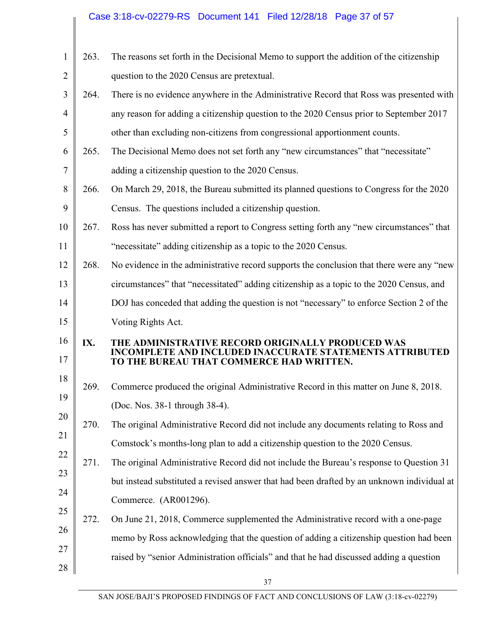# Case 3:18-cv-02279-RS Document 141 Filed 12/28/18 Page 37 of 57

| 1              | 263. | The reasons set forth in the Decisional Memo to support the addition of the citizenship                      |
|----------------|------|--------------------------------------------------------------------------------------------------------------|
| $\overline{2}$ |      | question to the 2020 Census are pretextual.                                                                  |
| 3              | 264. | There is no evidence anywhere in the Administrative Record that Ross was presented with                      |
| $\overline{4}$ |      | any reason for adding a citizenship question to the 2020 Census prior to September 2017                      |
| 5              |      | other than excluding non-citizens from congressional apportionment counts.                                   |
| 6              | 265. | The Decisional Memo does not set forth any "new circumstances" that "necessitate"                            |
| 7              |      | adding a citizenship question to the 2020 Census.                                                            |
| 8              | 266. | On March 29, 2018, the Bureau submitted its planned questions to Congress for the 2020                       |
| 9              |      | Census. The questions included a citizenship question.                                                       |
| 10             | 267. | Ross has never submitted a report to Congress setting forth any "new circumstances" that                     |
| 11             |      | "necessitate" adding citizenship as a topic to the 2020 Census.                                              |
| 12             | 268. | No evidence in the administrative record supports the conclusion that there were any "new                    |
| 13             |      | circumstances" that "necessitated" adding citizenship as a topic to the 2020 Census, and                     |
| 14             |      | DOJ has conceded that adding the question is not "necessary" to enforce Section 2 of the                     |
| 15             |      | Voting Rights Act.                                                                                           |
| 16             | IX.  | THE ADMINISTRATIVE RECORD ORIGINALLY PRODUCED WAS<br><b>FE AND INCLUDED INACCURATE STATEMENTS ATTRIBUTED</b> |
| 17             |      | TO THE BUREAU THAT COMMERCE HAD WRITTEN.                                                                     |
| 18             | 269. | Commerce produced the original Administrative Record in this matter on June 8, 2018.                         |
| 19             |      | (Doc. Nos. 38-1 through 38-4).                                                                               |
| 20             | 270. | The original Administrative Record did not include any documents relating to Ross and                        |
| 21             |      | Comstock's months-long plan to add a citizenship question to the 2020 Census.                                |
| 22             | 271. | The original Administrative Record did not include the Bureau's response to Question 31                      |
| 23             |      | but instead substituted a revised answer that had been drafted by an unknown individual at                   |
| 24             |      | Commerce. (AR001296).                                                                                        |
| 25             | 272. | On June 21, 2018, Commerce supplemented the Administrative record with a one-page                            |
| 26             |      | memo by Ross acknowledging that the question of adding a citizenship question had been                       |
| 27             |      | raised by "senior Administration officials" and that he had discussed adding a question                      |
| 28             |      |                                                                                                              |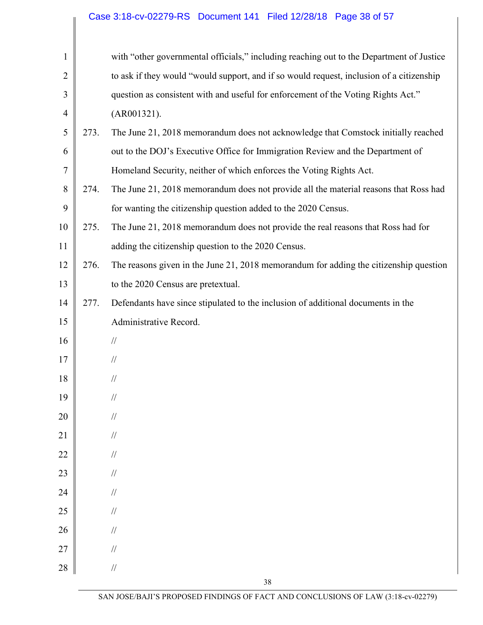| $\mathbf{1}$   |      | with "other governmental officials," including reaching out to the Department of Justice |
|----------------|------|------------------------------------------------------------------------------------------|
| $\overline{2}$ |      | to ask if they would "would support, and if so would request, inclusion of a citizenship |
| 3              |      | question as consistent with and useful for enforcement of the Voting Rights Act."        |
| $\overline{4}$ |      | (AR001321).                                                                              |
| 5              | 273. | The June 21, 2018 memorandum does not acknowledge that Comstock initially reached        |
| 6              |      | out to the DOJ's Executive Office for Immigration Review and the Department of           |
| $\tau$         |      | Homeland Security, neither of which enforces the Voting Rights Act.                      |
| 8              | 274. | The June 21, 2018 memorandum does not provide all the material reasons that Ross had     |
| 9              |      | for wanting the citizenship question added to the 2020 Census.                           |
| 10             | 275. | The June 21, 2018 memorandum does not provide the real reasons that Ross had for         |
| 11             |      | adding the citizenship question to the 2020 Census.                                      |
| 12             | 276. | The reasons given in the June 21, 2018 memorandum for adding the citizenship question    |
| 13             |      | to the 2020 Census are pretextual.                                                       |
| 14             | 277. | Defendants have since stipulated to the inclusion of additional documents in the         |
| 15             |      | Administrative Record.                                                                   |
| 16             |      | $/\!/$                                                                                   |
| 17             |      | $\mathcal{U}$                                                                            |
| 18             |      | $\mathcal{U}$                                                                            |
| 19             |      | $\frac{1}{2}$                                                                            |
| 20             |      | $\!/\!$                                                                                  |
| 21             |      | $\mathcal{U}$                                                                            |
| 22             |      | $\mathcal{U}$                                                                            |
| 23             |      | $\mathcal{U}$                                                                            |
| 24             |      | $\mathcal{U}$                                                                            |
| 25             |      | $\mathcal{U}$                                                                            |
| 26             |      | $\mathcal{U}$                                                                            |
| 27             |      | $\mathcal{U}$                                                                            |
| 28             |      | $/\!/$                                                                                   |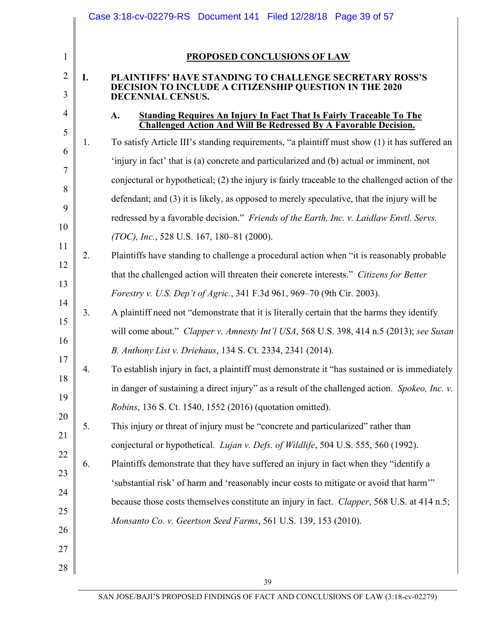|    |    | PROPOSED CONCLUSIONS OF LAW                                                                                                                          |
|----|----|------------------------------------------------------------------------------------------------------------------------------------------------------|
|    |    |                                                                                                                                                      |
| I. |    | PLAINTIFFS' HAVE STANDING TO CHALLENGE SECRETARY ROSS'S<br>DECISION TO INCLUDE A CITIZENSHIP QUESTION IN THE 2020<br>DECENNIAL CENSUS.               |
|    |    | <b>Standing Requires An Injury In Fact That Is Fairly Traceable To The</b><br>A.<br>Challenged Action And Will Be Redressed By A Favorable Decision. |
|    | 1. | To satisfy Article III's standing requirements, "a plaintiff must show (1) it has suffered an                                                        |
|    |    | 'injury in fact' that is (a) concrete and particularized and (b) actual or imminent, not                                                             |
|    |    | conjectural or hypothetical; (2) the injury is fairly traceable to the challenged action of the                                                      |
|    |    | defendant; and (3) it is likely, as opposed to merely speculative, that the injury will be                                                           |
|    |    | redressed by a favorable decision." Friends of the Earth, Inc. v. Laidlaw Envtl. Servs.                                                              |
|    |    | (TOC), Inc., 528 U.S. 167, 180-81 (2000).                                                                                                            |
|    | 2. | Plaintiffs have standing to challenge a procedural action when "it is reasonably probable                                                            |
|    |    | that the challenged action will threaten their concrete interests." Citizens for Better                                                              |
|    |    | Forestry v. U.S. Dep't of Agric., 341 F.3d 961, 969–70 (9th Cir. 2003).                                                                              |
|    | 3. | A plaintiff need not "demonstrate that it is literally certain that the harms they identify                                                          |
|    |    | will come about." Clapper v. Amnesty Int'l USA, 568 U.S. 398, 414 n.5 (2013); see Susan                                                              |
|    |    | B. Anthony List v. Driehaus, 134 S. Ct. 2334, 2341 (2014).                                                                                           |
|    | 4. | To establish injury in fact, a plaintiff must demonstrate it "has sustained or is immediately                                                        |
|    |    | in danger of sustaining a direct injury" as a result of the challenged action. Spokeo, Inc. v.                                                       |
|    |    | Robins, 136 S. Ct. 1540, 1552 (2016) (quotation omitted).                                                                                            |
|    | 5. | This injury or threat of injury must be "concrete and particularized" rather than                                                                    |
|    |    | conjectural or hypothetical. <i>Lujan v. Defs. of Wildlife</i> , 504 U.S. 555, 560 (1992).                                                           |
|    | 6. | Plaintiffs demonstrate that they have suffered an injury in fact when they "identify a                                                               |
|    |    | 'substantial risk' of harm and 'reasonably incur costs to mitigate or avoid that harm'"                                                              |
|    |    | because those costs themselves constitute an injury in fact. Clapper, 568 U.S. at 414 n.5;                                                           |
|    |    | Monsanto Co. v. Geertson Seed Farms, 561 U.S. 139, 153 (2010).                                                                                       |
|    |    |                                                                                                                                                      |
|    |    |                                                                                                                                                      |
|    |    | 39                                                                                                                                                   |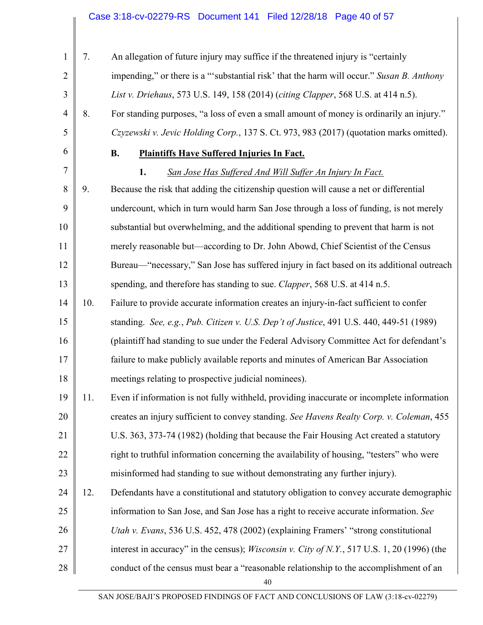## Case 3:18-cv-02279-RS Document 141 Filed 12/28/18 Page 40 of 57

| 1              | 7.  | An allegation of future injury may suffice if the threatened injury is "certainly                   |
|----------------|-----|-----------------------------------------------------------------------------------------------------|
| $\overline{2}$ |     | impending," or there is a "'substantial risk' that the harm will occur." Susan B. Anthony           |
| 3              |     | List v. Driehaus, 573 U.S. 149, 158 (2014) (citing Clapper, 568 U.S. at 414 n.5).                   |
| $\overline{4}$ | 8.  | For standing purposes, "a loss of even a small amount of money is ordinarily an injury."            |
| 5              |     | Czyzewski v. Jevic Holding Corp., 137 S. Ct. 973, 983 (2017) (quotation marks omitted).             |
| 6              |     | <b>B.</b><br><b>Plaintiffs Have Suffered Injuries In Fact.</b>                                      |
| 7              |     | 1.<br>San Jose Has Suffered And Will Suffer An Injury In Fact.                                      |
| 8              | 9.  | Because the risk that adding the citizenship question will cause a net or differential              |
| 9              |     | undercount, which in turn would harm San Jose through a loss of funding, is not merely              |
| 10             |     | substantial but overwhelming, and the additional spending to prevent that harm is not               |
| 11             |     | merely reasonable but—according to Dr. John Abowd, Chief Scientist of the Census                    |
| 12             |     | Bureau—"necessary," San Jose has suffered injury in fact based on its additional outreach           |
| 13             |     | spending, and therefore has standing to sue. Clapper, 568 U.S. at 414 n.5.                          |
| 14             | 10. | Failure to provide accurate information creates an injury-in-fact sufficient to confer              |
| 15             |     | standing. See, e.g., Pub. Citizen v. U.S. Dep't of Justice, 491 U.S. 440, 449-51 (1989)             |
| 16             |     | (plaintiff had standing to sue under the Federal Advisory Committee Act for defendant's             |
| 17             |     | failure to make publicly available reports and minutes of American Bar Association                  |
| 18             |     | meetings relating to prospective judicial nominees).                                                |
| 19             | 11. | Even if information is not fully withheld, providing inaccurate or incomplete information           |
| 20             |     | creates an injury sufficient to convey standing. See Havens Realty Corp. v. Coleman, 455            |
| 21             |     | U.S. 363, 373-74 (1982) (holding that because the Fair Housing Act created a statutory              |
| 22             |     | right to truthful information concerning the availability of housing, "testers" who were            |
| 23             |     | misinformed had standing to sue without demonstrating any further injury).                          |
| 24             | 12. | Defendants have a constitutional and statutory obligation to convey accurate demographic            |
| 25             |     | information to San Jose, and San Jose has a right to receive accurate information. See              |
| 26             |     | Utah v. Evans, 536 U.S. 452, 478 (2002) (explaining Framers' "strong constitutional                 |
| 27             |     | interest in accuracy" in the census); <i>Wisconsin v. City of N.Y.</i> , 517 U.S. 1, 20 (1996) (the |
| 28             |     | conduct of the census must bear a "reasonable relationship to the accomplishment of an              |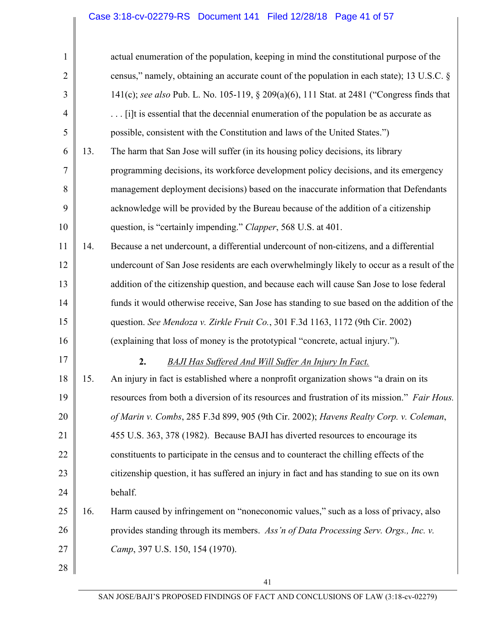| 1              |     | actual enumeration of the population, keeping in mind the constitutional purpose of the      |
|----------------|-----|----------------------------------------------------------------------------------------------|
| $\overline{2}$ |     | census," namely, obtaining an accurate count of the population in each state); 13 U.S.C. §   |
| 3              |     | 141(c); see also Pub. L. No. 105-119, § 209(a)(6), 111 Stat. at 2481 ("Congress finds that   |
| $\overline{4}$ |     | [i]t is essential that the decennial enumeration of the population be as accurate as         |
| 5              |     | possible, consistent with the Constitution and laws of the United States.")                  |
| 6              | 13. | The harm that San Jose will suffer (in its housing policy decisions, its library             |
| 7              |     | programming decisions, its workforce development policy decisions, and its emergency         |
| 8              |     | management deployment decisions) based on the inaccurate information that Defendants         |
| 9              |     | acknowledge will be provided by the Bureau because of the addition of a citizenship          |
| 10             |     | question, is "certainly impending." Clapper, 568 U.S. at 401.                                |
| 11             | 14. | Because a net undercount, a differential undercount of non-citizens, and a differential      |
| 12             |     | undercount of San Jose residents are each overwhelmingly likely to occur as a result of the  |
| 13             |     | addition of the citizenship question, and because each will cause San Jose to lose federal   |
| 14             |     | funds it would otherwise receive, San Jose has standing to sue based on the addition of the  |
| 15             |     | question. See Mendoza v. Zirkle Fruit Co., 301 F.3d 1163, 1172 (9th Cir. 2002)               |
| 16             |     | (explaining that loss of money is the prototypical "concrete, actual injury.").              |
| 17             |     | 2.<br><b>BAJI Has Suffered And Will Suffer An Injury In Fact.</b>                            |
| 18             | 15. | An injury in fact is established where a nonprofit organization shows "a drain on its        |
| 19             |     | resources from both a diversion of its resources and frustration of its mission." Fair Hous. |
| 20             |     | of Marin v. Combs, 285 F.3d 899, 905 (9th Cir. 2002); Havens Realty Corp. v. Coleman,        |
| 21             |     | 455 U.S. 363, 378 (1982). Because BAJI has diverted resources to encourage its               |
| 22             |     | constituents to participate in the census and to counteract the chilling effects of the      |
| 23             |     | citizenship question, it has suffered an injury in fact and has standing to sue on its own   |
| 24             |     | behalf.                                                                                      |
| 25             | 16. | Harm caused by infringement on "noneconomic values," such as a loss of privacy, also         |
| 26             |     | provides standing through its members. Ass'n of Data Processing Serv. Orgs., Inc. v.         |
| 27             |     | Camp, 397 U.S. 150, 154 (1970).                                                              |
| 28             |     |                                                                                              |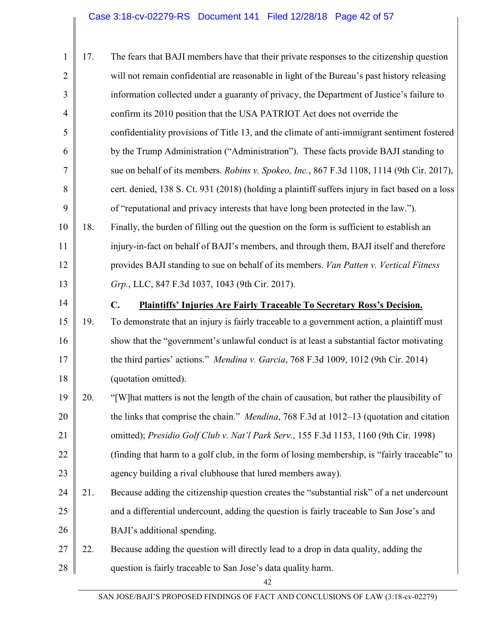| 1              | 17. | The fears that BAJI members have that their private responses to the citizenship question        |
|----------------|-----|--------------------------------------------------------------------------------------------------|
| $\overline{2}$ |     | will not remain confidential are reasonable in light of the Bureau's past history releasing      |
| 3              |     | information collected under a guaranty of privacy, the Department of Justice's failure to        |
| $\overline{4}$ |     | confirm its 2010 position that the USA PATRIOT Act does not override the                         |
| 5              |     | confidentiality provisions of Title 13, and the climate of anti-immigrant sentiment fostered     |
| 6              |     | by the Trump Administration ("Administration"). These facts provide BAJI standing to             |
| 7              |     | sue on behalf of its members. Robins v. Spokeo, Inc., 867 F.3d 1108, 1114 (9th Cir. 2017),       |
| 8              |     | cert. denied, 138 S. Ct. 931 (2018) (holding a plaintiff suffers injury in fact based on a loss  |
| 9              |     | of "reputational and privacy interests that have long been protected in the law.").              |
| 10             | 18. | Finally, the burden of filling out the question on the form is sufficient to establish an        |
| 11             |     | injury-in-fact on behalf of BAJI's members, and through them, BAJI itself and therefore          |
| 12             |     | provides BAJI standing to sue on behalf of its members. Van Patten v. Vertical Fitness           |
| 13             |     | Grp., LLC, 847 F.3d 1037, 1043 (9th Cir. 2017).                                                  |
| 14             |     | C.<br><b>Plaintiffs' Injuries Are Fairly Traceable To Secretary Ross's Decision.</b>             |
| 15             | 19. | To demonstrate that an injury is fairly traceable to a government action, a plaintiff must       |
| 16             |     | show that the "government's unlawful conduct is at least a substantial factor motivating         |
| 17             |     | the third parties' actions." Mendina v. Garcia, 768 F.3d 1009, 1012 (9th Cir. 2014)              |
| 18             |     | (quotation omitted).                                                                             |
| 19             | 20. | "[W] hat matters is not the length of the chain of causation, but rather the plausibility of     |
| 20             |     | the links that comprise the chain." <i>Mendina</i> , 768 F.3d at 1012–13 (quotation and citation |
| 21             |     | omitted); Presidio Golf Club v. Nat'l Park Serv., 155 F.3d 1153, 1160 (9th Cir. 1998)            |
| 22             |     | (finding that harm to a golf club, in the form of losing membership, is "fairly traceable" to    |
| 23             |     | agency building a rival clubhouse that lured members away).                                      |
| 24             | 21. | Because adding the citizenship question creates the "substantial risk" of a net undercount       |
| 25             |     | and a differential undercount, adding the question is fairly traceable to San Jose's and         |
| 26             |     | BAJI's additional spending.                                                                      |
| 27             | 22. | Because adding the question will directly lead to a drop in data quality, adding the             |
| 28             |     | question is fairly traceable to San Jose's data quality harm.                                    |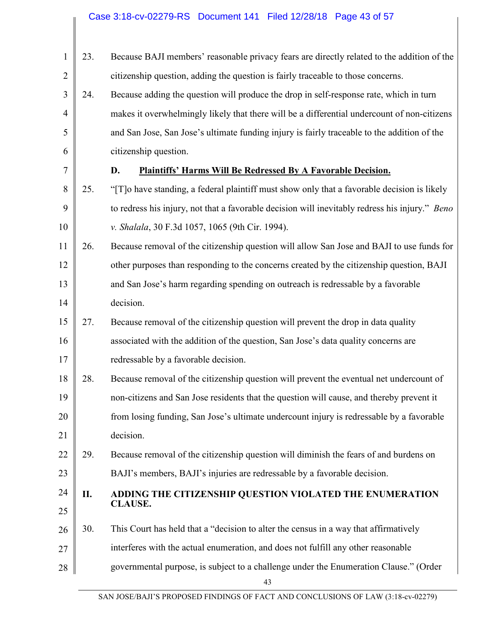| 1              | 23. | Because BAJI members' reasonable privacy fears are directly related to the addition of the     |
|----------------|-----|------------------------------------------------------------------------------------------------|
| $\overline{2}$ |     | citizenship question, adding the question is fairly traceable to those concerns.               |
| 3              | 24. | Because adding the question will produce the drop in self-response rate, which in turn         |
| $\overline{4}$ |     | makes it overwhelmingly likely that there will be a differential undercount of non-citizens    |
| 5              |     | and San Jose, San Jose's ultimate funding injury is fairly traceable to the addition of the    |
| 6              |     | citizenship question.                                                                          |
| 7              |     | Plaintiffs' Harms Will Be Redressed By A Favorable Decision.<br>D.                             |
| 8              | 25. | "[T] o have standing, a federal plaintiff must show only that a favorable decision is likely   |
| 9              |     | to redress his injury, not that a favorable decision will inevitably redress his injury." Beno |
| 10             |     | v. Shalala, 30 F.3d 1057, 1065 (9th Cir. 1994).                                                |
| 11             | 26. | Because removal of the citizenship question will allow San Jose and BAJI to use funds for      |
| 12             |     | other purposes than responding to the concerns created by the citizenship question, BAJI       |
| 13             |     | and San Jose's harm regarding spending on outreach is redressable by a favorable               |
| 14             |     | decision.                                                                                      |
| 15             | 27. | Because removal of the citizenship question will prevent the drop in data quality              |
| 16             |     | associated with the addition of the question, San Jose's data quality concerns are             |
| 17             |     | redressable by a favorable decision.                                                           |
| 18             | 28. | Because removal of the citizenship question will prevent the eventual net undercount of        |
| 19             |     | non-citizens and San Jose residents that the question will cause, and thereby prevent it       |
| 20             |     | from losing funding, San Jose's ultimate undercount injury is redressable by a favorable       |
| 21             |     | decision.                                                                                      |
| 22             | 29. | Because removal of the citizenship question will diminish the fears of and burdens on          |
| 23             |     | BAJI's members, BAJI's injuries are redressable by a favorable decision.                       |
| 24             | П.  | ADDING THE CITIZENSHIP QUESTION VIOLATED THE ENUMERATION                                       |
| 25             |     | <b>CLAUSE.</b>                                                                                 |
| 26             | 30. | This Court has held that a "decision to alter the census in a way that affirmatively           |
| 27             |     | interferes with the actual enumeration, and does not fulfill any other reasonable              |
| 28             |     | governmental purpose, is subject to a challenge under the Enumeration Clause." (Order          |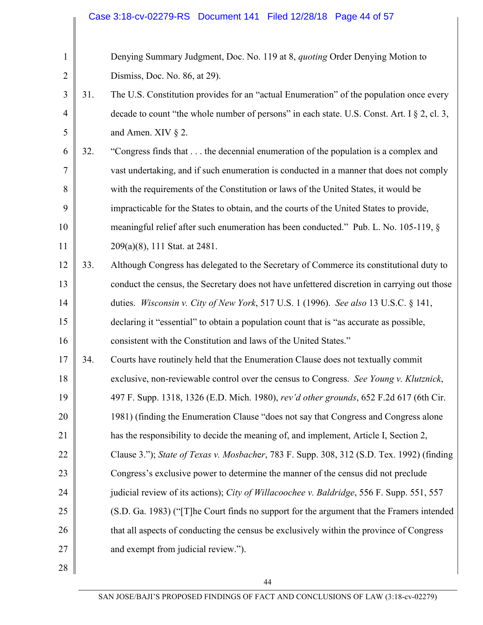|                |     | Case 3:18-cv-02279-RS Document 141 Filed 12/28/18 Page 44 of 57                             |
|----------------|-----|---------------------------------------------------------------------------------------------|
|                |     |                                                                                             |
| $\mathbf{1}$   |     | Denying Summary Judgment, Doc. No. 119 at 8, quoting Order Denying Motion to                |
| $\overline{2}$ |     | Dismiss, Doc. No. 86, at 29).                                                               |
| 3              | 31. | The U.S. Constitution provides for an "actual Enumeration" of the population once every     |
| $\overline{4}$ |     | decade to count "the whole number of persons" in each state. U.S. Const. Art. I § 2, cl. 3, |
| 5              |     | and Amen. XIV $\S$ 2.                                                                       |
| 6              | 32. | "Congress finds that the decennial enumeration of the population is a complex and           |
| $\overline{7}$ |     | vast undertaking, and if such enumeration is conducted in a manner that does not comply     |
| 8              |     | with the requirements of the Constitution or laws of the United States, it would be         |
| 9              |     | impracticable for the States to obtain, and the courts of the United States to provide,     |
| 10             |     | meaningful relief after such enumeration has been conducted." Pub. L. No. 105-119, §        |
| 11             |     | 209(a)(8), 111 Stat. at 2481.                                                               |
| 12             | 33. | Although Congress has delegated to the Secretary of Commerce its constitutional duty to     |
| 13             |     | conduct the census, the Secretary does not have unfettered discretion in carrying out those |
| 14             |     | duties. Wisconsin v. City of New York, 517 U.S. 1 (1996). See also 13 U.S.C. § 141,         |
| 15             |     | declaring it "essential" to obtain a population count that is "as accurate as possible,     |
| 16             |     | consistent with the Constitution and laws of the United States."                            |
| 17             | 34. | Courts have routinely held that the Enumeration Clause does not textually commit            |
| 18             |     | exclusive, non-reviewable control over the census to Congress. See Young v. Klutznick,      |
| 19             |     | 497 F. Supp. 1318, 1326 (E.D. Mich. 1980), rev'd other grounds, 652 F.2d 617 (6th Cir.      |
| 20             |     | 1981) (finding the Enumeration Clause "does not say that Congress and Congress alone        |
| 21             |     | has the responsibility to decide the meaning of, and implement, Article I, Section 2,       |
| 22             |     | Clause 3."); State of Texas v. Mosbacher, 783 F. Supp. 308, 312 (S.D. Tex. 1992) (finding   |
| 23             |     | Congress's exclusive power to determine the manner of the census did not preclude           |
| 24             |     | judicial review of its actions); City of Willacoochee v. Baldridge, 556 F. Supp. 551, 557   |
| 25             |     | (S.D. Ga. 1983) ("[T] he Court finds no support for the argument that the Framers intended  |
| 26             |     | that all aspects of conducting the census be exclusively within the province of Congress    |
| 27             |     | and exempt from judicial review.").                                                         |
| 28             |     |                                                                                             |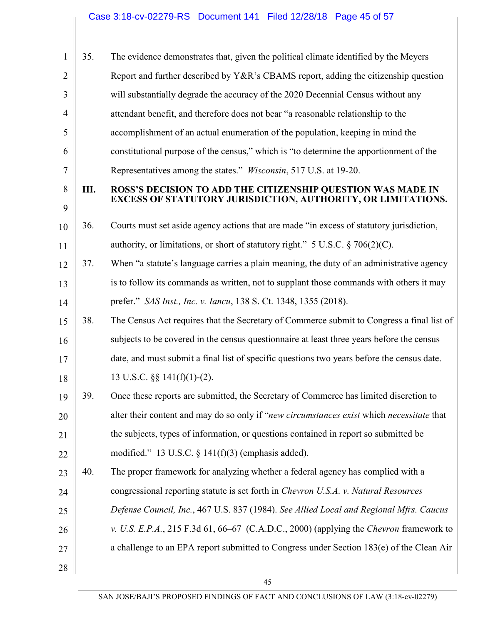| 1              | 35. | The evidence demonstrates that, given the political climate identified by the Meyers                                        |
|----------------|-----|-----------------------------------------------------------------------------------------------------------------------------|
| $\overline{2}$ |     | Report and further described by Y&R's CBAMS report, adding the citizenship question                                         |
| 3              |     | will substantially degrade the accuracy of the 2020 Decennial Census without any                                            |
| $\overline{4}$ |     | attendant benefit, and therefore does not bear "a reasonable relationship to the                                            |
| 5              |     | accomplishment of an actual enumeration of the population, keeping in mind the                                              |
| 6              |     | constitutional purpose of the census," which is "to determine the apportionment of the                                      |
| 7              |     | Representatives among the states." <i>Wisconsin</i> , 517 U.S. at 19-20.                                                    |
| 8<br>9         | Ш.  | ROSS'S DECISION TO ADD THE CITIZENSHIP QUESTION WAS MADE IN<br>EXCESS OF STATUTORY JURISDICTION, AUTHORITY, OR LIMITATIONS. |
| 10             | 36. | Courts must set aside agency actions that are made "in excess of statutory jurisdiction,                                    |
| 11             |     | authority, or limitations, or short of statutory right." $5 \text{ U.S.C.} \$ $706(2)(\text{C})$ .                          |
| 12             | 37. | When "a statute's language carries a plain meaning, the duty of an administrative agency                                    |
| 13             |     | is to follow its commands as written, not to supplant those commands with others it may                                     |
| 14             |     | prefer." SAS Inst., Inc. v. Iancu, 138 S. Ct. 1348, 1355 (2018).                                                            |
| 15             | 38. | The Census Act requires that the Secretary of Commerce submit to Congress a final list of                                   |
| 16             |     | subjects to be covered in the census questionnaire at least three years before the census                                   |
| 17             |     | date, and must submit a final list of specific questions two years before the census date.                                  |
| 18             |     | 13 U.S.C. $\S\S 141(f)(1)-(2)$ .                                                                                            |
| 19             | 39. | Once these reports are submitted, the Secretary of Commerce has limited discretion to                                       |
| 20             |     | alter their content and may do so only if "new circumstances exist which necessitate that                                   |
| 21             |     | the subjects, types of information, or questions contained in report so submitted be                                        |
| 22             |     | modified." 13 U.S.C. $\S$ 141(f)(3) (emphasis added).                                                                       |
| 23             | 40. | The proper framework for analyzing whether a federal agency has complied with a                                             |
| 24             |     | congressional reporting statute is set forth in <i>Chevron U.S.A. v. Natural Resources</i>                                  |
| 25             |     | Defense Council, Inc., 467 U.S. 837 (1984). See Allied Local and Regional Mfrs. Caucus                                      |
| 26             |     | v. U.S. E.P.A., 215 F.3d 61, 66–67 (C.A.D.C., 2000) (applying the Chevron framework to                                      |
| 27             |     | a challenge to an EPA report submitted to Congress under Section 183(e) of the Clean Air                                    |
| 28             |     |                                                                                                                             |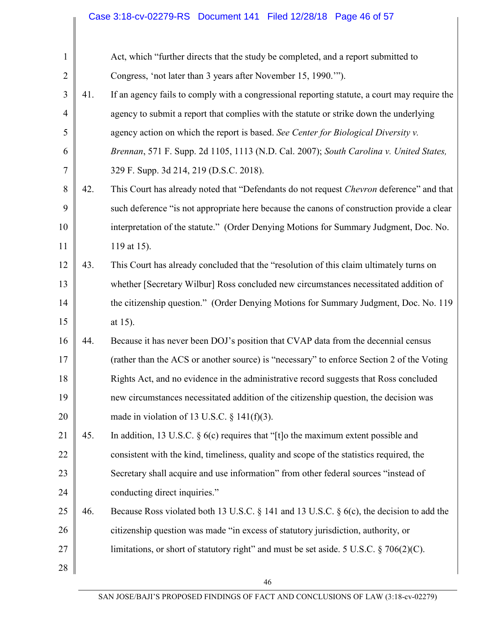# Case 3:18-cv-02279-RS Document 141 Filed 12/28/18 Page 46 of 57

| $\mathbf{1}$   |     | Act, which "further directs that the study be completed, and a report submitted to           |
|----------------|-----|----------------------------------------------------------------------------------------------|
| $\overline{2}$ |     | Congress, 'not later than 3 years after November 15, 1990."").                               |
| 3              | 41. | If an agency fails to comply with a congressional reporting statute, a court may require the |
| $\overline{4}$ |     | agency to submit a report that complies with the statute or strike down the underlying       |
| 5              |     | agency action on which the report is based. See Center for Biological Diversity v.           |
| 6              |     | Brennan, 571 F. Supp. 2d 1105, 1113 (N.D. Cal. 2007); South Carolina v. United States,       |
| 7              |     | 329 F. Supp. 3d 214, 219 (D.S.C. 2018).                                                      |
| 8              | 42. | This Court has already noted that "Defendants do not request Chevron deference" and that     |
| 9              |     | such deference "is not appropriate here because the canons of construction provide a clear   |
| 10             |     | interpretation of the statute." (Order Denying Motions for Summary Judgment, Doc. No.        |
| 11             |     | 119 at 15).                                                                                  |
| 12             | 43. | This Court has already concluded that the "resolution of this claim ultimately turns on      |
| 13             |     | whether [Secretary Wilbur] Ross concluded new circumstances necessitated addition of         |
| 14             |     | the citizenship question." (Order Denying Motions for Summary Judgment, Doc. No. 119)        |
| 15             |     | at 15).                                                                                      |
| 16             | 44. | Because it has never been DOJ's position that CVAP data from the decennial census            |
| 17             |     | (rather than the ACS or another source) is "necessary" to enforce Section 2 of the Voting    |
| 18             |     | Rights Act, and no evidence in the administrative record suggests that Ross concluded        |
| 19             |     | new circumstances necessitated addition of the citizenship question, the decision was        |
| 20             |     | made in violation of 13 U.S.C. $\S$ 141(f)(3).                                               |
| 21             | 45. | In addition, 13 U.S.C. $\S$ 6(c) requires that "[t] o the maximum extent possible and        |
| 22             |     | consistent with the kind, timeliness, quality and scope of the statistics required, the      |
| 23             |     | Secretary shall acquire and use information" from other federal sources "instead of          |
| 24             |     | conducting direct inquiries."                                                                |
| 25             | 46. | Because Ross violated both 13 U.S.C. § 141 and 13 U.S.C. § $6(c)$ , the decision to add the  |
| 26             |     | citizenship question was made "in excess of statutory jurisdiction, authority, or            |
| 27             |     | limitations, or short of statutory right" and must be set aside. 5 U.S.C. § 706(2)(C).       |
| 28             |     |                                                                                              |
|                |     | 46                                                                                           |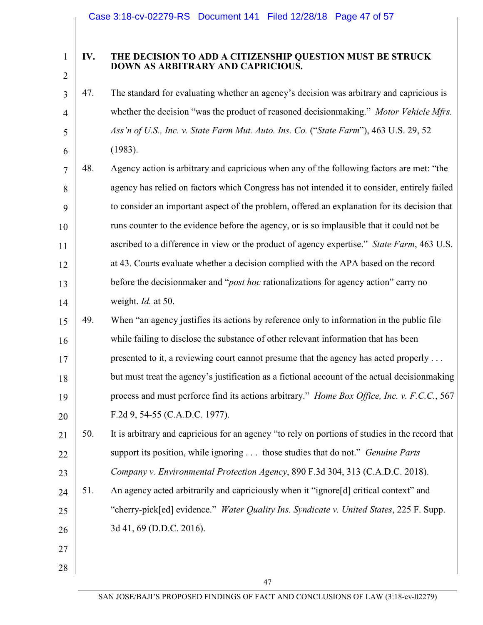3

4

5

6

27

28

#### **IV. THE DECISION TO ADD A CITIZENSHIP QUESTION MUST BE STRUCK DOWN AS ARBITRARY AND CAPRICIOUS.**

- 47. The standard for evaluating whether an agency's decision was arbitrary and capricious is whether the decision "was the product of reasoned decisionmaking." *Motor Vehicle Mfrs. Ass'n of U.S., Inc. v. State Farm Mut. Auto. Ins. Co.* ("*State Farm*"), 463 U.S. 29, 52 (1983).
- 7 8 9 10 11 12 13 14 48. Agency action is arbitrary and capricious when any of the following factors are met: "the agency has relied on factors which Congress has not intended it to consider, entirely failed to consider an important aspect of the problem, offered an explanation for its decision that runs counter to the evidence before the agency, or is so implausible that it could not be ascribed to a difference in view or the product of agency expertise." *State Farm*, 463 U.S. at 43. Courts evaluate whether a decision complied with the APA based on the record before the decisionmaker and "*post hoc* rationalizations for agency action" carry no weight. *Id.* at 50.
- 15 16 17 18 19 20 49. When "an agency justifies its actions by reference only to information in the public file while failing to disclose the substance of other relevant information that has been presented to it, a reviewing court cannot presume that the agency has acted properly . . . but must treat the agency's justification as a fictional account of the actual decisionmaking process and must perforce find its actions arbitrary." *Home Box Office, Inc. v. F.C.C.*, 567 F.2d 9, 54-55 (C.A.D.C. 1977).
- 21 22 23 50. It is arbitrary and capricious for an agency "to rely on portions of studies in the record that support its position, while ignoring . . . those studies that do not." *Genuine Parts Company v. Environmental Protection Agency*, 890 F.3d 304, 313 (C.A.D.C. 2018).
- 24 25 26 51. An agency acted arbitrarily and capriciously when it "ignore[d] critical context" and "cherry-pick[ed] evidence." *Water Quality Ins. Syndicate v. United States*, 225 F. Supp. 3d 41, 69 (D.D.C. 2016).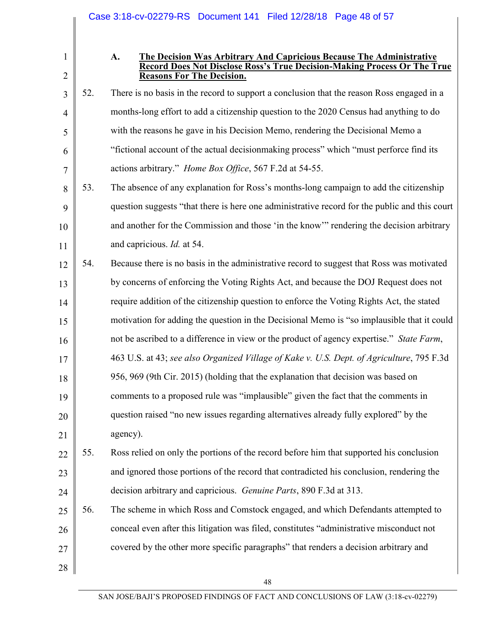|                                |     | Case 3:18-cv-02279-RS Document 141 Filed 12/28/18 Page 48 of 57                                                                                                                            |
|--------------------------------|-----|--------------------------------------------------------------------------------------------------------------------------------------------------------------------------------------------|
|                                |     |                                                                                                                                                                                            |
| $\mathbf{1}$<br>$\overline{2}$ |     | A.<br>The Decision Was Arbitrary And Capricious Because The Administrative<br>Record Does Not Disclose Ross's True Decision-Making Process Or The True<br><b>Reasons For The Decision.</b> |
| 3                              | 52. | There is no basis in the record to support a conclusion that the reason Ross engaged in a                                                                                                  |
| $\overline{4}$                 |     | months-long effort to add a citizenship question to the 2020 Census had anything to do                                                                                                     |
| 5                              |     | with the reasons he gave in his Decision Memo, rendering the Decisional Memo a                                                                                                             |
| 6                              |     | "fictional account of the actual decision making process" which "must perforce find its                                                                                                    |
| 7                              |     | actions arbitrary." <i>Home Box Office</i> , 567 F.2d at 54-55.                                                                                                                            |
| 8                              | 53. | The absence of any explanation for Ross's months-long campaign to add the citizenship                                                                                                      |
| 9                              |     | question suggests "that there is here one administrative record for the public and this court                                                                                              |
| 10                             |     | and another for the Commission and those 'in the know'" rendering the decision arbitrary                                                                                                   |
| 11                             |     | and capricious. <i>Id.</i> at 54.                                                                                                                                                          |
| 12                             | 54. | Because there is no basis in the administrative record to suggest that Ross was motivated                                                                                                  |
| 13                             |     | by concerns of enforcing the Voting Rights Act, and because the DOJ Request does not                                                                                                       |
| 14                             |     | require addition of the citizenship question to enforce the Voting Rights Act, the stated                                                                                                  |
| 15                             |     | motivation for adding the question in the Decisional Memo is "so implausible that it could                                                                                                 |
| 16                             |     | not be ascribed to a difference in view or the product of agency expertise." State Farm,                                                                                                   |
| 17                             |     | 463 U.S. at 43; see also Organized Village of Kake v. U.S. Dept. of Agriculture, 795 F.3d                                                                                                  |
| 18                             |     | 956, 969 (9th Cir. 2015) (holding that the explanation that decision was based on                                                                                                          |
| 19                             |     | comments to a proposed rule was "implausible" given the fact that the comments in                                                                                                          |
| 20                             |     | question raised "no new issues regarding alternatives already fully explored" by the                                                                                                       |
| 21                             |     | agency).                                                                                                                                                                                   |
| 22                             | 55. | Ross relied on only the portions of the record before him that supported his conclusion                                                                                                    |
| 23                             |     | and ignored those portions of the record that contradicted his conclusion, rendering the                                                                                                   |
| 24                             |     | decision arbitrary and capricious. Genuine Parts, 890 F.3d at 313.                                                                                                                         |
| 25                             | 56. | The scheme in which Ross and Comstock engaged, and which Defendants attempted to                                                                                                           |
| 26                             |     | conceal even after this litigation was filed, constitutes "administrative misconduct not                                                                                                   |
| 27                             |     | covered by the other more specific paragraphs" that renders a decision arbitrary and                                                                                                       |
| 28                             |     |                                                                                                                                                                                            |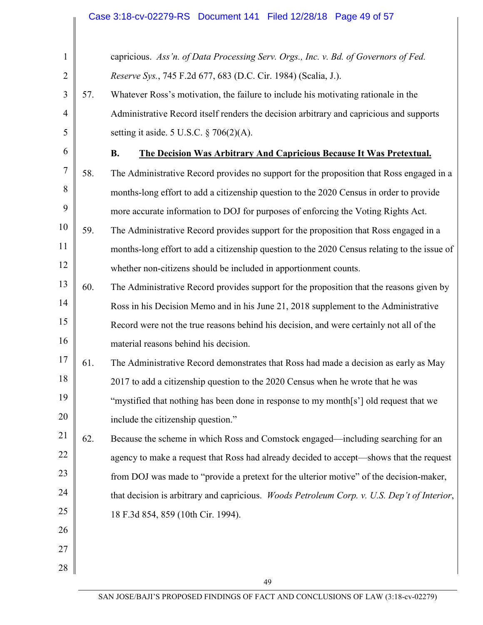|                |     | Case 3:18-cv-02279-RS  Document 141  Filed 12/28/18  Page 49 of 57                           |
|----------------|-----|----------------------------------------------------------------------------------------------|
|                |     |                                                                                              |
| $\mathbf{1}$   |     | capricious. Ass'n. of Data Processing Serv. Orgs., Inc. v. Bd. of Governors of Fed.          |
| $\overline{2}$ |     | Reserve Sys., 745 F.2d 677, 683 (D.C. Cir. 1984) (Scalia, J.).                               |
| 3              | 57. | Whatever Ross's motivation, the failure to include his motivating rationale in the           |
| $\overline{4}$ |     | Administrative Record itself renders the decision arbitrary and capricious and supports      |
| 5              |     | setting it aside. 5 U.S.C. $\S$ 706(2)(A).                                                   |
| 6              |     | <b>B.</b><br>The Decision Was Arbitrary And Capricious Because It Was Pretextual.            |
| $\overline{7}$ | 58. | The Administrative Record provides no support for the proposition that Ross engaged in a     |
| 8              |     | months-long effort to add a citizenship question to the 2020 Census in order to provide      |
| 9              |     | more accurate information to DOJ for purposes of enforcing the Voting Rights Act.            |
| 10             | 59. | The Administrative Record provides support for the proposition that Ross engaged in a        |
| 11             |     | months-long effort to add a citizenship question to the 2020 Census relating to the issue of |
| 12             |     | whether non-citizens should be included in apportionment counts.                             |

- 13 14 15 16 60. The Administrative Record provides support for the proposition that the reasons given by Ross in his Decision Memo and in his June 21, 2018 supplement to the Administrative Record were not the true reasons behind his decision, and were certainly not all of the material reasons behind his decision.
- 17 18 19 20 61. The Administrative Record demonstrates that Ross had made a decision as early as May 2017 to add a citizenship question to the 2020 Census when he wrote that he was "mystified that nothing has been done in response to my month[s'] old request that we include the citizenship question."
- 21 22 23 24 25 62. Because the scheme in which Ross and Comstock engaged—including searching for an agency to make a request that Ross had already decided to accept—shows that the request from DOJ was made to "provide a pretext for the ulterior motive" of the decision-maker, that decision is arbitrary and capricious. *Woods Petroleum Corp. v. U.S. Dep't of Interior*, 18 F.3d 854, 859 (10th Cir. 1994).

27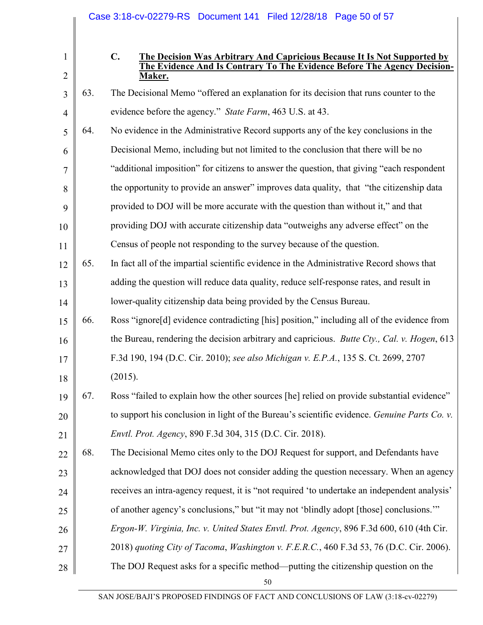|                                |     |               | Case 3:18-cv-02279-RS Document 141 Filed 12/28/18 Page 50 of 57                                                                                                |
|--------------------------------|-----|---------------|----------------------------------------------------------------------------------------------------------------------------------------------------------------|
|                                |     |               |                                                                                                                                                                |
| $\mathbf{1}$<br>$\overline{2}$ |     | $C_{\bullet}$ | The Decision Was Arbitrary And Capricious Because It Is Not Supported by<br>The Evidence And Is Contrary To The Evidence Before The Agency Decision-<br>Maker. |
| 3                              | 63. |               | The Decisional Memo "offered an explanation for its decision that runs counter to the                                                                          |
| $\overline{4}$                 |     |               | evidence before the agency." State Farm, 463 U.S. at 43.                                                                                                       |
| 5                              | 64. |               | No evidence in the Administrative Record supports any of the key conclusions in the                                                                            |
| 6                              |     |               | Decisional Memo, including but not limited to the conclusion that there will be no                                                                             |
| 7                              |     |               | "additional imposition" for citizens to answer the question, that giving "each respondent                                                                      |
| 8                              |     |               | the opportunity to provide an answer" improves data quality, that "the citizenship data"                                                                       |
| 9                              |     |               | provided to DOJ will be more accurate with the question than without it," and that                                                                             |
| 10                             |     |               | providing DOJ with accurate citizenship data "outweighs any adverse effect" on the                                                                             |
| 11                             |     |               | Census of people not responding to the survey because of the question.                                                                                         |
| 12                             | 65. |               | In fact all of the impartial scientific evidence in the Administrative Record shows that                                                                       |
| 13                             |     |               | adding the question will reduce data quality, reduce self-response rates, and result in                                                                        |
| 14                             |     |               | lower-quality citizenship data being provided by the Census Bureau.                                                                                            |
| 15                             | 66. |               | Ross "ignore[d] evidence contradicting [his] position," including all of the evidence from                                                                     |
| 16                             |     |               | the Bureau, rendering the decision arbitrary and capricious. <i>Butte Cty.</i> , <i>Cal. v. Hogen</i> , 613                                                    |
| 17                             |     |               | F.3d 190, 194 (D.C. Cir. 2010); see also Michigan v. E.P.A., 135 S. Ct. 2699, 2707                                                                             |
| 18                             |     | (2015).       |                                                                                                                                                                |
| 19                             | 67. |               | Ross "failed to explain how the other sources [he] relied on provide substantial evidence"                                                                     |
| 20                             |     |               | to support his conclusion in light of the Bureau's scientific evidence. <i>Genuine Parts Co. v.</i>                                                            |
| 21                             |     |               | Envtl. Prot. Agency, 890 F.3d 304, 315 (D.C. Cir. 2018).                                                                                                       |
| 22                             | 68. |               | The Decisional Memo cites only to the DOJ Request for support, and Defendants have                                                                             |
| 23                             |     |               | acknowledged that DOJ does not consider adding the question necessary. When an agency                                                                          |
| 24                             |     |               | receives an intra-agency request, it is "not required 'to undertake an independent analysis'                                                                   |
| 25                             |     |               | of another agency's conclusions," but "it may not 'blindly adopt [those] conclusions.""                                                                        |
| 26                             |     |               | Ergon-W. Virginia, Inc. v. United States Envtl. Prot. Agency, 896 F.3d 600, 610 (4th Cir.                                                                      |
| 27                             |     |               | 2018) quoting City of Tacoma, Washington v. F.E.R.C., 460 F.3d 53, 76 (D.C. Cir. 2006).                                                                        |
| 28                             |     |               | The DOJ Request asks for a specific method—putting the citizenship question on the                                                                             |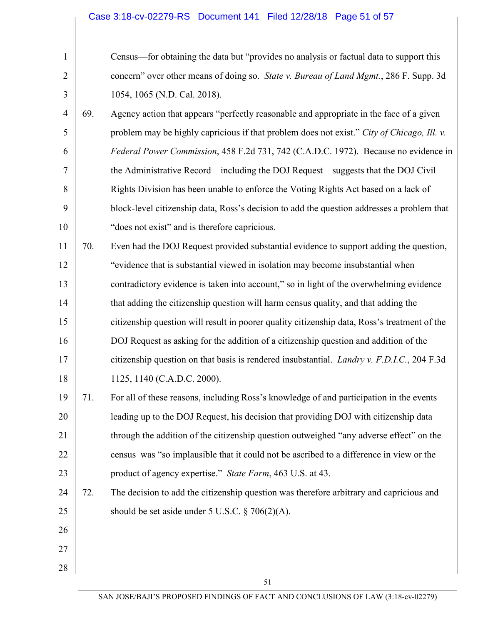| $\mathbf{1}$   |     | Census—for obtaining the data but "provides no analysis or factual data to support this    |
|----------------|-----|--------------------------------------------------------------------------------------------|
| $\overline{2}$ |     | concern" over other means of doing so. State v. Bureau of Land Mgmt., 286 F. Supp. 3d      |
| $\overline{3}$ |     | 1054, 1065 (N.D. Cal. 2018).                                                               |
| $\overline{4}$ | 69. | Agency action that appears "perfectly reasonable and appropriate in the face of a given    |
| 5              |     | problem may be highly capricious if that problem does not exist." City of Chicago, Ill. v. |
| 6              |     | Federal Power Commission, 458 F.2d 731, 742 (C.A.D.C. 1972). Because no evidence in        |
| $\tau$         |     | the Administrative Record – including the DOJ Request – suggests that the DOJ Civil        |
| 8              |     | Rights Division has been unable to enforce the Voting Rights Act based on a lack of        |
| 9              |     | block-level citizenship data, Ross's decision to add the question addresses a problem that |

11 12 13 14 15 16 17 18 70. Even had the DOJ Request provided substantial evidence to support adding the question, "evidence that is substantial viewed in isolation may become insubstantial when contradictory evidence is taken into account," so in light of the overwhelming evidence that adding the citizenship question will harm census quality, and that adding the citizenship question will result in poorer quality citizenship data, Ross's treatment of the DOJ Request as asking for the addition of a citizenship question and addition of the citizenship question on that basis is rendered insubstantial. *Landry v. F.D.I.C.*, 204 F.3d 1125, 1140 (C.A.D.C. 2000).

"does not exist" and is therefore capricious.

- 19 20 21 22 23 71. For all of these reasons, including Ross's knowledge of and participation in the events leading up to the DOJ Request, his decision that providing DOJ with citizenship data through the addition of the citizenship question outweighed "any adverse effect" on the census was "so implausible that it could not be ascribed to a difference in view or the product of agency expertise." *State Farm*, 463 U.S. at 43.
- 24 25 72. The decision to add the citizenship question was therefore arbitrary and capricious and should be set aside under 5 U.S.C. § 706(2)(A).
- 26 27 28

9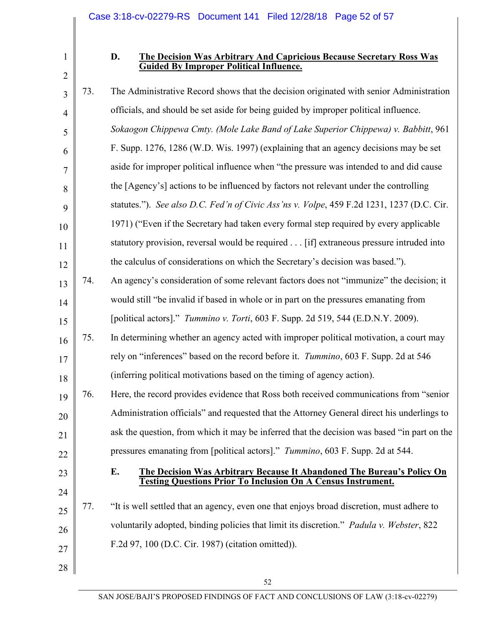1

#### **D. The Decision Was Arbitrary And Capricious Because Secretary Ross Was Guided By Improper Political Influence.**

| 3              | 73. | The Administrative Record shows that the decision originated with senior Administration          |
|----------------|-----|--------------------------------------------------------------------------------------------------|
| $\overline{4}$ |     | officials, and should be set aside for being guided by improper political influence.             |
| 5              |     | Sokaogon Chippewa Cmty. (Mole Lake Band of Lake Superior Chippewa) v. Babbitt, 961               |
| 6              |     | F. Supp. 1276, 1286 (W.D. Wis. 1997) (explaining that an agency decisions may be set             |
| 7              |     | aside for improper political influence when "the pressure was intended to and did cause          |
| 8              |     | the [Agency's] actions to be influenced by factors not relevant under the controlling            |
| 9              |     | statutes."). See also D.C. Fed'n of Civic Ass'ns v. Volpe, 459 F.2d 1231, 1237 (D.C. Cir.        |
| 10             |     | 1971) ("Even if the Secretary had taken every formal step required by every applicable           |
| 11             |     | statutory provision, reversal would be required [if] extraneous pressure intruded into           |
| 12             |     | the calculus of considerations on which the Secretary's decision was based.").                   |
| 13             | 74. | An agency's consideration of some relevant factors does not "immunize" the decision; it          |
| 14             |     | would still "be invalid if based in whole or in part on the pressures emanating from             |
| 15             |     | [political actors]." Tummino v. Torti, 603 F. Supp. 2d 519, 544 (E.D.N.Y. 2009).                 |
| 16             | 75. | In determining whether an agency acted with improper political motivation, a court may           |
| 17             |     | rely on "inferences" based on the record before it. Tummino, 603 F. Supp. 2d at 546              |
| 18             |     | (inferring political motivations based on the timing of agency action).                          |
| 19             | 76. | Here, the record provides evidence that Ross both received communications from "senior"          |
| 20             |     | Administration officials" and requested that the Attorney General direct his underlings to       |
| 21             |     | ask the question, from which it may be inferred that the decision was based "in part on the      |
| 22             |     | pressures emanating from [political actors]." Tummino, 603 F. Supp. 2d at 544.                   |
| 23             |     | The Decision Was Arbitrary Because It Abandoned The Bureau's Policy On<br>E.                     |
| 24             |     | <b>Testing Questions Prior To Inclusion On A Census Instrument.</b>                              |
| 25             | 77. | "It is well settled that an agency, even one that enjoys broad discretion, must adhere to        |
| 26             |     | voluntarily adopted, binding policies that limit its discretion." <i>Padula v. Webster</i> , 822 |
| 27             |     | F.2d 97, 100 (D.C. Cir. 1987) (citation omitted)).                                               |
| 28             |     |                                                                                                  |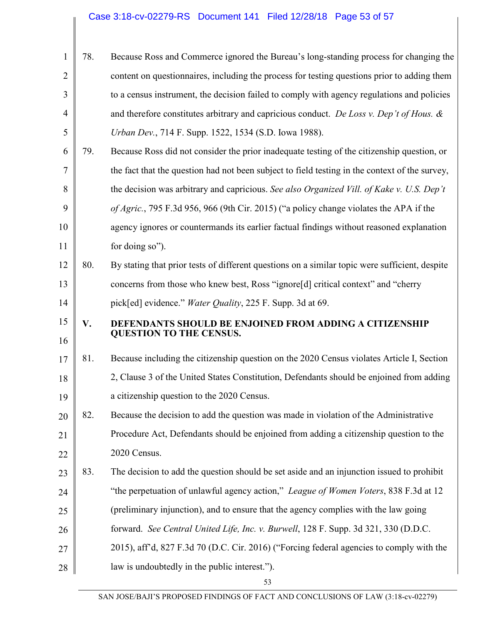| 1              | 78. | Because Ross and Commerce ignored the Bureau's long-standing process for changing the          |
|----------------|-----|------------------------------------------------------------------------------------------------|
| $\overline{2}$ |     | content on questionnaires, including the process for testing questions prior to adding them    |
| 3              |     | to a census instrument, the decision failed to comply with agency regulations and policies     |
| $\overline{4}$ |     | and therefore constitutes arbitrary and capricious conduct. De Loss v. Dep't of Hous. &        |
| 5              |     | Urban Dev., 714 F. Supp. 1522, 1534 (S.D. Iowa 1988).                                          |
| 6              | 79. | Because Ross did not consider the prior inadequate testing of the citizenship question, or     |
| 7              |     | the fact that the question had not been subject to field testing in the context of the survey, |
| 8              |     | the decision was arbitrary and capricious. See also Organized Vill. of Kake v. U.S. Dep't      |
| 9              |     | of Agric., 795 F.3d 956, 966 (9th Cir. 2015) ("a policy change violates the APA if the         |
| 10             |     | agency ignores or countermands its earlier factual findings without reasoned explanation       |
| 11             |     | for doing so").                                                                                |
| 12             | 80. | By stating that prior tests of different questions on a similar topic were sufficient, despite |
| 13             |     | concerns from those who knew best, Ross "ignore[d] critical context" and "cherry               |
| 14             |     | pick[ed] evidence." <i>Water Quality</i> , 225 F. Supp. 3d at 69.                              |
|                |     |                                                                                                |
| 15             | V.  | <b>DEFENDANTS SHOULD BE ENJOINED FROM ADDING A CITIZENSHIP</b>                                 |
| 16             |     | <b>QUESTION TO THE CENSUS.</b>                                                                 |
| 17             | 81. | Because including the citizenship question on the 2020 Census violates Article I, Section      |
| 18             |     | 2, Clause 3 of the United States Constitution, Defendants should be enjoined from adding       |
| 19             |     | a citizenship question to the 2020 Census.                                                     |
| 20             | 82. | Because the decision to add the question was made in violation of the Administrative           |
| 21             |     | Procedure Act, Defendants should be enjoined from adding a citizenship question to the         |
| 22             |     | 2020 Census.                                                                                   |
| 23             | 83. | The decision to add the question should be set aside and an injunction issued to prohibit      |
| 24             |     | "the perpetuation of unlawful agency action," League of Women Voters, 838 F.3d at 12           |
| 25             |     | (preliminary injunction), and to ensure that the agency complies with the law going            |
| 26             |     | forward. See Central United Life, Inc. v. Burwell, 128 F. Supp. 3d 321, 330 (D.D.C.            |
| 27             |     | 2015), aff'd, 827 F.3d 70 (D.C. Cir. 2016) ("Forcing federal agencies to comply with the       |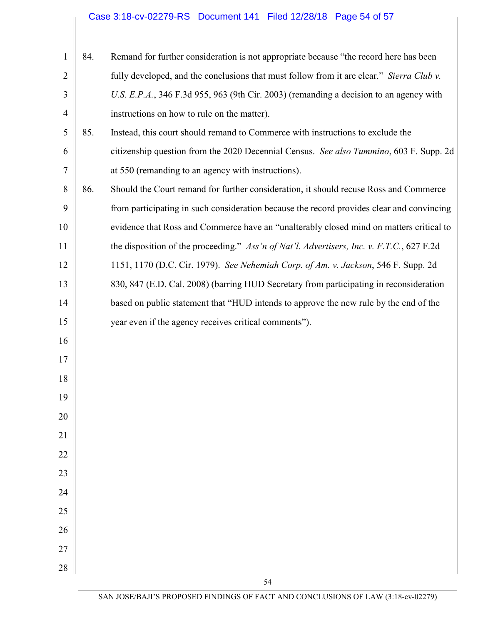| $\mathbf{1}$   | 84. | Remand for further consideration is not appropriate because "the record here has been     |
|----------------|-----|-------------------------------------------------------------------------------------------|
| $\overline{2}$ |     | fully developed, and the conclusions that must follow from it are clear." Sierra Club v.  |
| 3              |     | U.S. E.P.A., 346 F.3d 955, 963 (9th Cir. 2003) (remanding a decision to an agency with    |
| $\overline{4}$ |     | instructions on how to rule on the matter).                                               |
| 5              | 85. | Instead, this court should remand to Commerce with instructions to exclude the            |
| 6              |     | citizenship question from the 2020 Decennial Census. See also Tummino, 603 F. Supp. 2d    |
| 7              |     | at 550 (remanding to an agency with instructions).                                        |
| 8              | 86. | Should the Court remand for further consideration, it should recuse Ross and Commerce     |
| 9              |     | from participating in such consideration because the record provides clear and convincing |
| 10             |     | evidence that Ross and Commerce have an "unalterably closed mind on matters critical to   |
| 11             |     | the disposition of the proceeding." Ass'n of Nat'l. Advertisers, Inc. v. F.T.C., 627 F.2d |
| 12             |     | 1151, 1170 (D.C. Cir. 1979). See Nehemiah Corp. of Am. v. Jackson, 546 F. Supp. 2d        |
| 13             |     | 830, 847 (E.D. Cal. 2008) (barring HUD Secretary from participating in reconsideration    |
| 14             |     | based on public statement that "HUD intends to approve the new rule by the end of the     |
| 15             |     | year even if the agency receives critical comments").                                     |
| 16             |     |                                                                                           |
| 17             |     |                                                                                           |
| 18             |     |                                                                                           |
| 19             |     |                                                                                           |
| 20             |     |                                                                                           |
| 21             |     |                                                                                           |
| 22             |     |                                                                                           |
| 23             |     |                                                                                           |
| 24             |     |                                                                                           |
| 25             |     |                                                                                           |
| 26             |     |                                                                                           |
| $27\,$         |     |                                                                                           |
| 28             |     |                                                                                           |
|                |     | 54                                                                                        |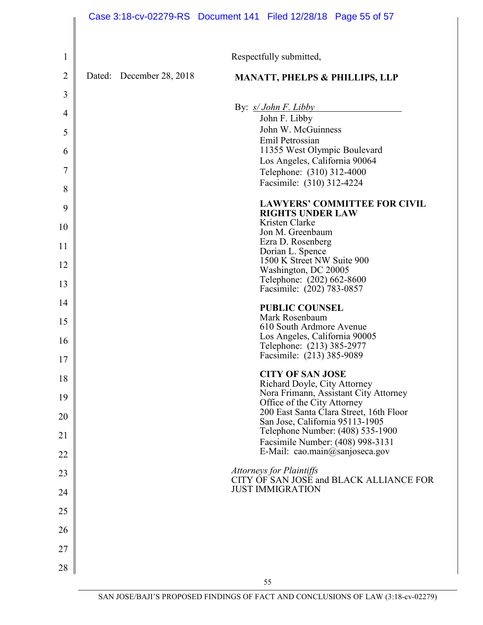|                |                             | Case 3:18-cv-02279-RS  Document 141  Filed 12/28/18  Page 55 of 57                                   |
|----------------|-----------------------------|------------------------------------------------------------------------------------------------------|
|                |                             |                                                                                                      |
| 1              |                             | Respectfully submitted,                                                                              |
| $\overline{2}$ | Dated:<br>December 28, 2018 | <b>MANATT, PHELPS &amp; PHILLIPS, LLP</b>                                                            |
| 3              |                             | By: $s/John F. Libby$                                                                                |
| $\overline{4}$ |                             | John F. Libby                                                                                        |
| 5              |                             | John W. McGuinness<br>Emil Petrossian                                                                |
| 6              |                             | 11355 West Olympic Boulevard<br>Los Angeles, California 90064                                        |
| 7              |                             | Telephone: (310) 312-4000                                                                            |
| 8              |                             | Facsimile: (310) 312-4224                                                                            |
| 9              |                             | <b>LAWYERS' COMMITTEE FOR CIVIL</b><br><b>RIGHTS UNDER LAW</b>                                       |
| 10             |                             | Kristen Clarke<br>Jon M. Greenbaum                                                                   |
| 11             |                             | Ezra D. Rosenberg<br>Dorian L. Spence                                                                |
| 12             |                             | 1500 K Street NW Suite 900                                                                           |
| 13             |                             | Washington, DC 20005<br>Telephone: (202) 662-8600<br>Facsimile: (202) 783-0857                       |
| 14             |                             | <b>PUBLIC COUNSEL</b>                                                                                |
| 15             |                             | Mark Rosenbaum<br>610 South Ardmore Avenue                                                           |
| 16             |                             | Los Angeles, California 90005                                                                        |
| 17             |                             | Telephone: (213) 385-2977<br>Facsimile: (213) 385-9089                                               |
| 18             |                             | <b>CITY OF SAN JOSE</b>                                                                              |
| 19             |                             | Richard Doyle, City Attorney<br>Nora Frimann, Assistant City Attorney<br>Office of the City Attorney |
| 20             |                             | 200 East Santa Clara Street, 16th Floor<br>San Jose, California 95113-1905                           |
| 21             |                             | Telephone Number: (408) 535-1900<br>Facsimile Number: (408) 998-3131                                 |
| 22             |                             | E-Mail: cao.main@sanjoseca.gov                                                                       |
| 23             |                             | Attorneys for Plaintiffs<br>CITY OF SAN JOSE and BLACK ALLIANCE FOR                                  |
| 24             |                             | <b>JUST IMMIGRATION</b>                                                                              |
| 25             |                             |                                                                                                      |
| 26             |                             |                                                                                                      |
| 27             |                             |                                                                                                      |
| 28             |                             |                                                                                                      |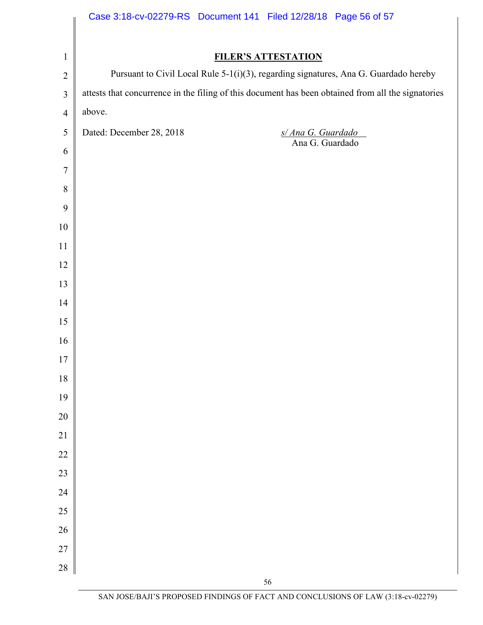|                  | Case 3:18-cv-02279-RS Document 141 Filed 12/28/18 Page 56 of 57                                     |
|------------------|-----------------------------------------------------------------------------------------------------|
|                  |                                                                                                     |
| $\mathbf{1}$     | <b>FILER'S ATTESTATION</b>                                                                          |
| $\overline{2}$   | Pursuant to Civil Local Rule 5-1(i)(3), regarding signatures, Ana G. Guardado hereby                |
| $\mathfrak{Z}$   | attests that concurrence in the filing of this document has been obtained from all the signatories  |
| $\overline{4}$   | above.                                                                                              |
| $\sqrt{5}$       | Dated: December 28, 2018<br>$\frac{s/\text{Ana }G.~\text{Guardado}}{\text{Ana }G.~\text{Guardado}}$ |
| 6                |                                                                                                     |
| $\overline{7}$   |                                                                                                     |
| $8\,$            |                                                                                                     |
| 9                |                                                                                                     |
| $10\,$           |                                                                                                     |
| 11               |                                                                                                     |
| 12               |                                                                                                     |
| 13               |                                                                                                     |
| 14               |                                                                                                     |
| 15               |                                                                                                     |
| 16               |                                                                                                     |
| 17               |                                                                                                     |
| $18\,$           |                                                                                                     |
| 19               |                                                                                                     |
| $20\,$<br>$21\,$ |                                                                                                     |
| 22               |                                                                                                     |
| 23               |                                                                                                     |
| $24\,$           |                                                                                                     |
| 25               |                                                                                                     |
| 26               |                                                                                                     |
| 27               |                                                                                                     |
| 28               |                                                                                                     |
|                  | 56                                                                                                  |